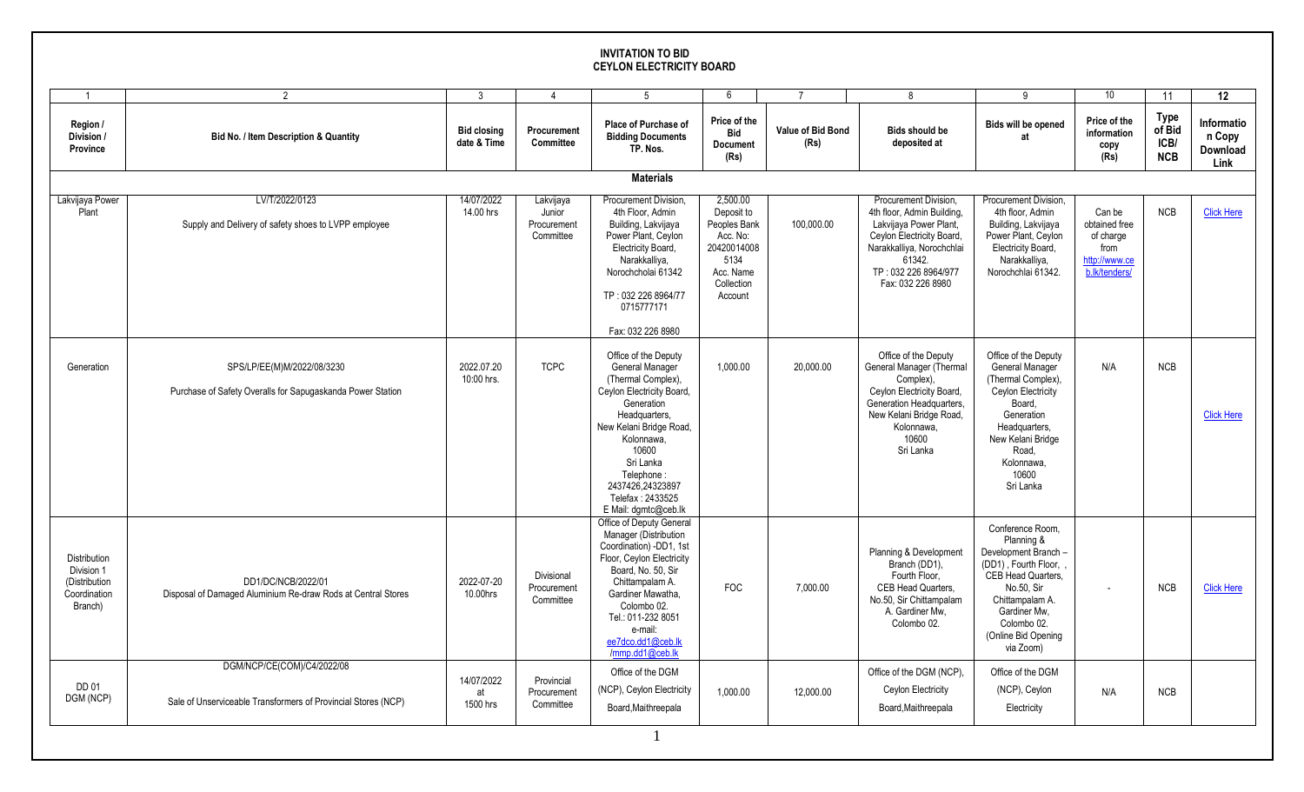## **INVITATION TO BID CEYLON ELECTRICITY BOARD**

|                                                                               | $\mathcal{P}$                                                                               | 3                                 | $\overline{\mathbf{A}}$                         | 5                                                                                                                                                                                                                                                                                   | 6                                                                                                               | $\overline{7}$            | 8                                                                                                                                                                                              | 9                                                                                                                                                                                                        | 10                                                                             | 11                                          | 12                                       |
|-------------------------------------------------------------------------------|---------------------------------------------------------------------------------------------|-----------------------------------|-------------------------------------------------|-------------------------------------------------------------------------------------------------------------------------------------------------------------------------------------------------------------------------------------------------------------------------------------|-----------------------------------------------------------------------------------------------------------------|---------------------------|------------------------------------------------------------------------------------------------------------------------------------------------------------------------------------------------|----------------------------------------------------------------------------------------------------------------------------------------------------------------------------------------------------------|--------------------------------------------------------------------------------|---------------------------------------------|------------------------------------------|
| Region /<br>Division /<br>Province                                            | Bid No. / Item Description & Quantity                                                       | <b>Bid closing</b><br>date & Time | Procurement<br><b>Committee</b>                 | Place of Purchase of<br><b>Bidding Documents</b><br>TP. Nos.                                                                                                                                                                                                                        | Price of the<br><b>Bid</b><br><b>Document</b><br>(Rs)                                                           | Value of Bid Bond<br>(Rs) | <b>Bids should be</b><br>deposited at                                                                                                                                                          | Bids will be opened<br>at                                                                                                                                                                                | Price of the<br>information<br>copy<br>(Rs)                                    | <b>Type</b><br>of Bid<br>ICB/<br><b>NCB</b> | Informatio<br>n Copy<br>Download<br>Link |
|                                                                               |                                                                                             |                                   |                                                 | <b>Materials</b>                                                                                                                                                                                                                                                                    |                                                                                                                 |                           |                                                                                                                                                                                                |                                                                                                                                                                                                          |                                                                                |                                             |                                          |
| Lakvijaya Power<br>Plant                                                      | LV/T/2022/0123<br>Supply and Delivery of safety shoes to LVPP employee                      | 14/07/2022<br>14.00 hrs           | Lakvijaya<br>Junior<br>Procurement<br>Committee | Procurement Division.<br>4th Floor. Admin<br>Building, Lakvijaya<br>Power Plant, Ceylon<br>Electricity Board,<br>Narakkalliya,<br>Norochcholai 61342<br>TP: 032 226 8964/77<br>0715777171<br>Fax: 032 226 8980                                                                      | 2.500.00<br>Deposit to<br>Peoples Bank<br>Acc. No:<br>20420014008<br>5134<br>Acc. Name<br>Collection<br>Account | 100.000.00                | Procurement Division.<br>4th floor, Admin Building,<br>Lakvijaya Power Plant,<br>Ceylon Electricity Board,<br>Narakkalliya, Norochchlai<br>61342.<br>TP: 032 226 8964/977<br>Fax: 032 226 8980 | Procurement Division.<br>4th floor. Admin<br>Building, Lakvijaya<br>Power Plant, Ceylon<br>Electricity Board,<br>Narakkalliya,<br>Norochchlai 61342.                                                     | Can be<br>obtained free<br>of charge<br>from<br>http://www.ce<br>b.lk/tenders/ | <b>NCB</b>                                  | <b>Click Here</b>                        |
| Generation                                                                    | SPS/LP/EE(M)M/2022/08/3230<br>Purchase of Safety Overalls for Sapugaskanda Power Station    | 2022.07.20<br>10:00 hrs.          | <b>TCPC</b>                                     | Office of the Deputy<br><b>General Manager</b><br>(Thermal Complex),<br>Ceylon Electricity Board,<br>Generation<br>Headquarters,<br>New Kelani Bridge Road,<br>Kolonnawa.<br>10600<br>Sri Lanka<br>Telephone:<br>2437426.24323897<br>Telefax: 2433525<br>E Mail: dgmtc@ceb.lk       | 1,000.00                                                                                                        | 20,000.00                 | Office of the Deputy<br>General Manager (Thermal<br>Complex),<br>Ceylon Electricity Board,<br>Generation Headquarters.<br>New Kelani Bridge Road,<br>Kolonnawa.<br>10600<br>Sri Lanka          | Office of the Deputy<br>General Manager<br>(Thermal Complex),<br>Ceylon Electricity<br>Board.<br>Generation<br>Headquarters,<br>New Kelani Bridge<br>Road.<br>Kolonnawa.<br>10600<br>Sri Lanka           | N/A                                                                            | <b>NCB</b>                                  | <b>Click Here</b>                        |
| <b>Distribution</b><br>Division 1<br>(Distribution<br>Coordination<br>Branch) | DD1/DC/NCB/2022/01<br>Disposal of Damaged Aluminium Re-draw Rods at Central Stores          | 2022-07-20<br>10.00hrs            | Divisional<br>Procurement<br>Committee          | Office of Deputy General<br>Manager (Distribution<br>Coordination) -DD1, 1st<br>Floor, Ceylon Electricity<br>Board, No. 50, Sir<br>Chittampalam A.<br>Gardiner Mawatha.<br>Colombo 02.<br>Tel.: 011-232 8051<br>e-mail:<br>ee7dco.dd1@ceb.lk<br>$\overline{\text{mmp}}$ .dd1@ceb.lk | <b>FOC</b>                                                                                                      | 7,000.00                  | Planning & Development<br>Branch (DD1),<br>Fourth Floor,<br>CEB Head Quarters,<br>No.50, Sir Chittampalam<br>A. Gardiner Mw,<br>Colombo 02.                                                    | Conference Room.<br>Planning &<br>Development Branch -<br>(DD1), Fourth Floor,<br>CEB Head Quarters,<br>No.50, Sir<br>Chittampalam A.<br>Gardiner Mw.<br>Colombo 02.<br>(Online Bid Opening<br>via Zoom) | $\overline{a}$                                                                 | <b>NCB</b>                                  | <b>Click Here</b>                        |
| DD 01<br>DGM (NCP)                                                            | DGM/NCP/CE(COM)/C4/2022/08<br>Sale of Unserviceable Transformers of Provincial Stores (NCP) | 14/07/2022<br>at<br>1500 hrs      | Provincial<br>Procurement<br>Committee          | Office of the DGM<br>(NCP), Ceylon Electricity<br>Board Maithreepala                                                                                                                                                                                                                | 1,000.00                                                                                                        | 12,000.00                 | Office of the DGM (NCP),<br>Ceylon Electricity<br>Board, Maithreepala                                                                                                                          | Office of the DGM<br>(NCP), Ceylon<br>Electricity                                                                                                                                                        | N/A                                                                            | <b>NCB</b>                                  |                                          |
|                                                                               |                                                                                             |                                   |                                                 |                                                                                                                                                                                                                                                                                     |                                                                                                                 |                           |                                                                                                                                                                                                |                                                                                                                                                                                                          |                                                                                |                                             |                                          |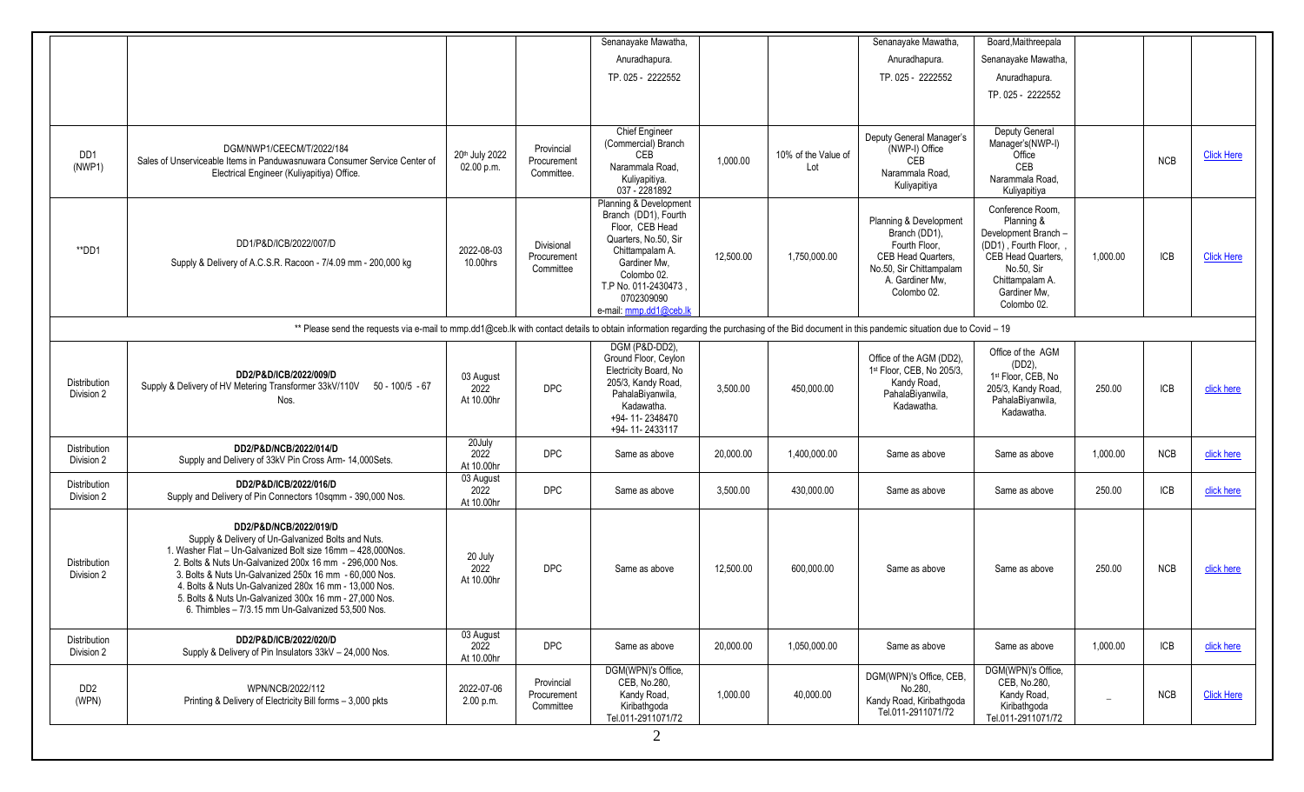| DGM/NWP1/CEECM/T/2022/184<br>Sales of Unserviceable Items in Panduwasnuwara Consumer Service Center of<br>Electrical Engineer (Kuliyapitiya) Office.<br>DD1/P&D/ICB/2022/007/D<br>Supply & Delivery of A.C.S.R. Racoon - 7/4.09 mm - 200,000 kg                                                                                                                                                                                           | 20th July 2022<br>02.00 p.m.<br>2022-08-03 | Provincial<br>Procurement<br>Committee. | Anuradhapura.<br>TP. 025 - 2222552<br><b>Chief Engineer</b><br>(Commercial) Branch<br>CEB<br>Narammala Road,<br>Kuliyapitiya.<br>037 - 2281892<br>Planning & Development<br>Branch (DD1), Fourth | 1,000.00  | 10% of the Value of<br>Lot | Anuradhapura.<br>TP. 025 - 2222552<br>Deputy General Manager's<br>(NWP-I) Office<br>CEB<br>Narammala Road.                                  | Senanayake Mawatha,<br>Anuradhapura.<br>TP. 025 - 2222552<br>Deputy General<br>Manager's(NWP-I)<br>Office<br>CEB                                                     |                                                                                                                                                                                               | <b>NCB</b> | <b>Click Here</b> |
|-------------------------------------------------------------------------------------------------------------------------------------------------------------------------------------------------------------------------------------------------------------------------------------------------------------------------------------------------------------------------------------------------------------------------------------------|--------------------------------------------|-----------------------------------------|--------------------------------------------------------------------------------------------------------------------------------------------------------------------------------------------------|-----------|----------------------------|---------------------------------------------------------------------------------------------------------------------------------------------|----------------------------------------------------------------------------------------------------------------------------------------------------------------------|-----------------------------------------------------------------------------------------------------------------------------------------------------------------------------------------------|------------|-------------------|
|                                                                                                                                                                                                                                                                                                                                                                                                                                           |                                            |                                         |                                                                                                                                                                                                  |           |                            |                                                                                                                                             |                                                                                                                                                                      |                                                                                                                                                                                               |            |                   |
|                                                                                                                                                                                                                                                                                                                                                                                                                                           |                                            |                                         |                                                                                                                                                                                                  |           |                            |                                                                                                                                             |                                                                                                                                                                      |                                                                                                                                                                                               |            |                   |
|                                                                                                                                                                                                                                                                                                                                                                                                                                           |                                            |                                         |                                                                                                                                                                                                  |           |                            |                                                                                                                                             |                                                                                                                                                                      |                                                                                                                                                                                               |            |                   |
|                                                                                                                                                                                                                                                                                                                                                                                                                                           |                                            |                                         |                                                                                                                                                                                                  |           |                            |                                                                                                                                             |                                                                                                                                                                      |                                                                                                                                                                                               |            |                   |
|                                                                                                                                                                                                                                                                                                                                                                                                                                           |                                            |                                         |                                                                                                                                                                                                  |           |                            | Kuliyapitiya                                                                                                                                | Narammala Road.<br>Kuliyapitiya                                                                                                                                      |                                                                                                                                                                                               |            |                   |
|                                                                                                                                                                                                                                                                                                                                                                                                                                           | 10.00hrs                                   | Divisional<br>Procurement<br>Committee  | Floor, CEB Head<br>Quarters, No.50, Sir<br>Chittampalam A.<br>Gardiner Mw.<br>Colombo 02.<br>T.P No. 011-2430473.<br>0702309090<br>e-mail: mmp.dd1@ceb.lk                                        | 12,500.00 | 1,750,000.00               | Planning & Development<br>Branch (DD1),<br>Fourth Floor,<br>CEB Head Quarters,<br>No.50, Sir Chittampalam<br>A. Gardiner Mw.<br>Colombo 02. | Conference Room,<br>Planning &<br>Development Branch -<br>(DD1), Fourth Floor,<br>CEB Head Quarters,<br>No.50, Sir<br>Chittampalam A.<br>Gardiner Mw,<br>Colombo 02. | 1,000.00                                                                                                                                                                                      | <b>ICB</b> | <b>Click Here</b> |
|                                                                                                                                                                                                                                                                                                                                                                                                                                           |                                            |                                         |                                                                                                                                                                                                  |           |                            |                                                                                                                                             |                                                                                                                                                                      |                                                                                                                                                                                               |            |                   |
| DD2/P&D/ICB/2022/009/D<br>Supply & Delivery of HV Metering Transformer 33kV/110V 50 - 100/5 - 67<br>Nos.                                                                                                                                                                                                                                                                                                                                  | 03 August<br>2022<br>At 10.00hr            | <b>DPC</b>                              | DGM (P&D-DD2),<br>Ground Floor, Ceylon<br>Electricity Board, No<br>205/3, Kandy Road,<br>PahalaBiyanwila,<br>Kadawatha.<br>+94-11-2348470<br>+94-11-2433117                                      | 3,500.00  | 450,000.00                 | Office of the AGM (DD2).<br>1st Floor, CEB, No 205/3,<br>Kandy Road,<br>PahalaBiyanwila,<br>Kadawatha.                                      | Office of the AGM<br>$(DD2)$ ,<br>1st Floor, CEB, No<br>205/3, Kandy Road,<br>PahalaBiyanwila,<br>Kadawatha.                                                         | 250.00                                                                                                                                                                                        | <b>ICB</b> | click here        |
| DD2/P&D/NCB/2022/014/D<br>Supply and Delivery of 33kV Pin Cross Arm- 14,000Sets.                                                                                                                                                                                                                                                                                                                                                          | 2022<br>At 10.00hr                         | <b>DPC</b>                              | Same as above                                                                                                                                                                                    | 20,000.00 | 1,400,000.00               | Same as above                                                                                                                               | Same as above                                                                                                                                                        | 1,000.00                                                                                                                                                                                      | <b>NCB</b> | click here        |
| DD2/P&D/ICB/2022/016/D<br>Supply and Delivery of Pin Connectors 10sqmm - 390,000 Nos.                                                                                                                                                                                                                                                                                                                                                     | 03 August<br>2022<br>At 10.00hr            | <b>DPC</b>                              | Same as above                                                                                                                                                                                    | 3,500.00  | 430,000.00                 | Same as above                                                                                                                               | Same as above                                                                                                                                                        | 250.00                                                                                                                                                                                        | <b>ICB</b> | click here        |
| DD2/P&D/NCB/2022/019/D<br>Supply & Delivery of Un-Galvanized Bolts and Nuts.<br>1. Washer Flat - Un-Galvanized Bolt size 16mm - 428,000Nos.<br>2. Bolts & Nuts Un-Galvanized 200x 16 mm - 296,000 Nos.<br>3. Bolts & Nuts Un-Galvanized 250x 16 mm - 60,000 Nos.<br>4. Bolts & Nuts Un-Galvanized 280x 16 mm - 13,000 Nos.<br>5. Bolts & Nuts Un-Galvanized 300x 16 mm - 27,000 Nos.<br>6. Thimbles - 7/3.15 mm Un-Galvanized 53,500 Nos. | 20 July<br>2022<br>At 10.00hr              | <b>DPC</b>                              | Same as above                                                                                                                                                                                    | 12,500.00 | 600,000.00                 | Same as above                                                                                                                               | Same as above                                                                                                                                                        | 250.00                                                                                                                                                                                        | <b>NCB</b> | click here        |
| DD2/P&D/ICB/2022/020/D<br>Supply & Delivery of Pin Insulators 33kV - 24,000 Nos.                                                                                                                                                                                                                                                                                                                                                          | 03 August<br>2022<br>At 10.00hr            | <b>DPC</b>                              | Same as above                                                                                                                                                                                    | 20,000.00 | 1,050,000.00               | Same as above                                                                                                                               | Same as above                                                                                                                                                        | 1,000.00                                                                                                                                                                                      | ICB        | click here        |
| WPN/NCB/2022/112<br>Printing & Delivery of Electricity Bill forms - 3,000 pkts                                                                                                                                                                                                                                                                                                                                                            | 2022-07-06<br>2.00 p.m.                    | Provincial<br>Procurement<br>Committee  | DGM(WPN)'s Office,<br>CEB, No.280,<br>Kandy Road,<br>Kiribathgoda<br>Tel.011-2911071/72                                                                                                          | 1,000.00  | 40,000.00                  | DGM(WPN)'s Office, CEB,<br>No.280.<br>Kandy Road, Kiribathgoda<br>Tel.011-2911071/72                                                        | DGM(WPN)'s Office,<br>CEB, No.280,<br>Kandy Road,<br>Kiribathgoda<br>Tel.011-2911071/72                                                                              |                                                                                                                                                                                               | <b>NCB</b> | <b>Click Here</b> |
|                                                                                                                                                                                                                                                                                                                                                                                                                                           |                                            | 20July                                  |                                                                                                                                                                                                  |           |                            |                                                                                                                                             |                                                                                                                                                                      | ** Please send the requests via e-mail to mmp.dd1@ceb.lk with contact details to obtain information regarding the purchasing of the Bid document in this pandemic situation due to Covid - 19 | 2          |                   |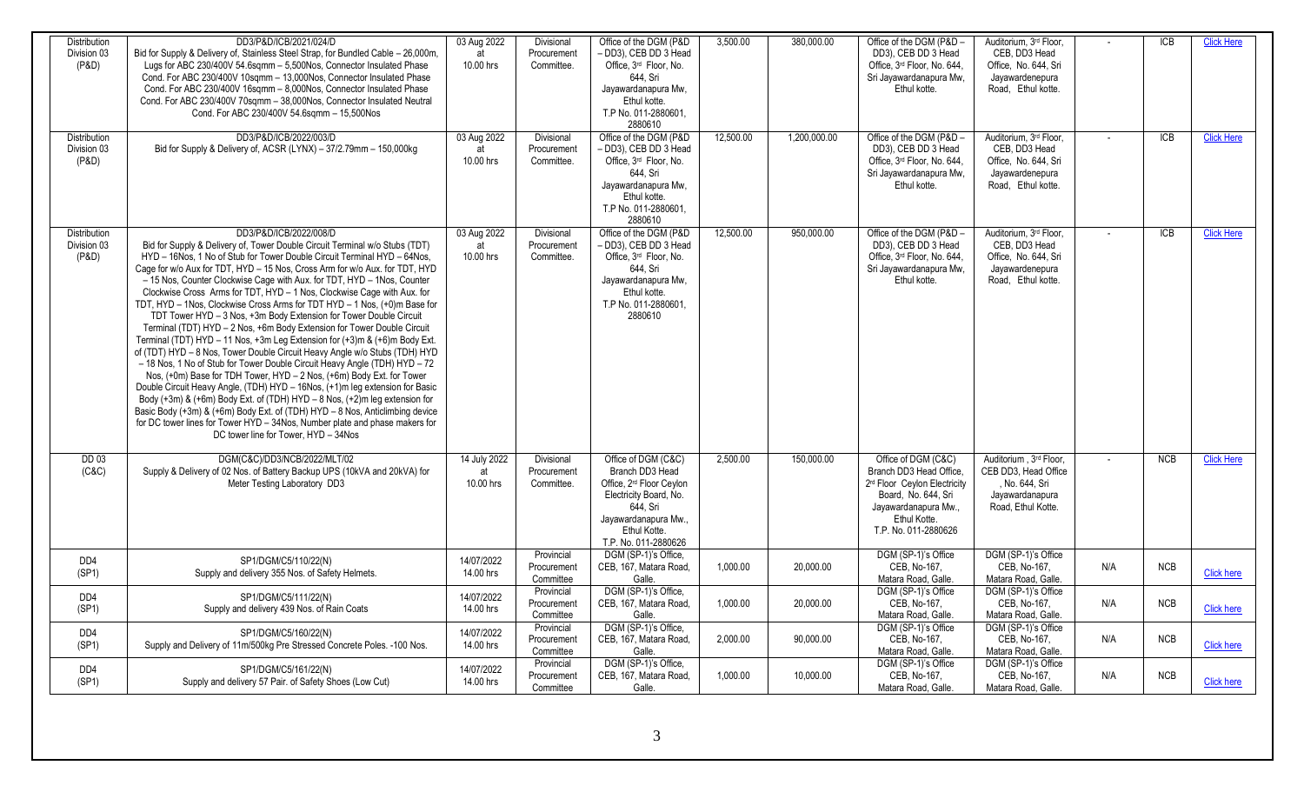| <b>Distribution</b> | DD3/P&D/ICB/2021/024/D                                                                                                                                        | 03 Aug 2022             | Divisional               | Office of the DGM (P&D)                                        | 3.500.00  | 380,000.00   | Office of the DGM (P&D -                            | Auditorium. 3rd Floor.                     |     | $\overline{ICB}$ | <b>Click Here</b> |
|---------------------|---------------------------------------------------------------------------------------------------------------------------------------------------------------|-------------------------|--------------------------|----------------------------------------------------------------|-----------|--------------|-----------------------------------------------------|--------------------------------------------|-----|------------------|-------------------|
| Division 03         | Bid for Supply & Delivery of, Stainless Steel Strap, for Bundled Cable - 26,000m,                                                                             |                         | Procurement              | - DD3), CEB DD 3 Head                                          |           |              | DD3), CEB DD 3 Head                                 | CEB. DD3 Head                              |     |                  |                   |
| (P&D)               | Lugs for ABC 230/400V 54.6sqmm - 5,500Nos, Connector Insulated Phase                                                                                          | 10.00 hrs               | Committee.               | Office, 3rd Floor, No.                                         |           |              | Office, 3rd Floor, No. 644,                         | Office. No. 644. Sri                       |     |                  |                   |
|                     | Cond. For ABC 230/400V 10sqmm - 13,000Nos, Connector Insulated Phase                                                                                          |                         |                          | 644, Sri                                                       |           |              | Sri Jayawardanapura Mw,                             | Jayawardenepura                            |     |                  |                   |
|                     | Cond. For ABC 230/400V 16sqmm - 8,000Nos, Connector Insulated Phase<br>Cond. For ABC 230/400V 70sqmm - 38,000Nos, Connector Insulated Neutral                 |                         |                          | Jayawardanapura Mw,<br>Ethul kotte.                            |           |              | Ethul kotte.                                        | Road, Ethul kotte.                         |     |                  |                   |
|                     | Cond. For ABC 230/400V 54.6sgmm - 15,500Nos                                                                                                                   |                         |                          | T.P No. 011-2880601.                                           |           |              |                                                     |                                            |     |                  |                   |
|                     |                                                                                                                                                               |                         |                          | 2880610                                                        |           |              |                                                     |                                            |     |                  |                   |
| <b>Distribution</b> | DD3/P&D/ICB/2022/003/D                                                                                                                                        | 03 Aug 2022             | Divisional               | Office of the DGM (P&D                                         | 12,500.00 | 1,200,000.00 | Office of the DGM (P&D -                            | Auditorium, 3 <sup>rd</sup> Floor.         |     | <b>ICB</b>       | <b>Click Here</b> |
| Division 03         | Bid for Supply & Delivery of, ACSR (LYNX) - 37/2.79mm - 150,000kg                                                                                             |                         | Procurement              | - DD3). CEB DD 3 Head                                          |           |              | DD3), CEB DD 3 Head                                 | CEB. DD3 Head                              |     |                  |                   |
| (P&D)               |                                                                                                                                                               | 10.00 hrs               | Committee.               | Office, 3rd Floor, No.                                         |           |              | Office, 3rd Floor, No. 644,                         | Office, No. 644, Sri                       |     |                  |                   |
|                     |                                                                                                                                                               |                         |                          | 644. Sri                                                       |           |              | Sri Jayawardanapura Mw,                             | Jayawardenepura                            |     |                  |                   |
|                     |                                                                                                                                                               |                         |                          | Jayawardanapura Mw.<br>Ethul kotte.                            |           |              | Ethul kotte.                                        | Road, Ethul kotte.                         |     |                  |                   |
|                     |                                                                                                                                                               |                         |                          | T.P No. 011-2880601.                                           |           |              |                                                     |                                            |     |                  |                   |
|                     |                                                                                                                                                               |                         |                          | 2880610                                                        |           |              |                                                     |                                            |     |                  |                   |
| Distribution        | DD3/P&D/ICB/2022/008/D                                                                                                                                        | 03 Aug 2022             | Divisional               | Office of the DGM (P&D                                         | 12,500.00 | 950,000.00   | Office of the DGM (P&D -                            | Auditorium, 3rd Floor.                     |     | <b>ICB</b>       | <b>Click Here</b> |
| Division 03         | Bid for Supply & Delivery of, Tower Double Circuit Terminal w/o Stubs (TDT)                                                                                   | at                      | Procurement              | - DD3), CEB DD 3 Head                                          |           |              | DD3), CEB DD 3 Head                                 | CEB, DD3 Head                              |     |                  |                   |
| (P&D)               | HYD - 16Nos, 1 No of Stub for Tower Double Circuit Terminal HYD - 64Nos,                                                                                      | 10.00 hrs               | Committee.               | Office, 3rd Floor, No.                                         |           |              | Office, 3rd Floor, No. 644,                         | Office, No. 644, Sri                       |     |                  |                   |
|                     | Cage for w/o Aux for TDT, HYD - 15 Nos, Cross Arm for w/o Aux. for TDT, HYD                                                                                   |                         |                          | 644, Sri                                                       |           |              | Sri Jayawardanapura Mw,                             | Jayawardenepura                            |     |                  |                   |
|                     | - 15 Nos, Counter Clockwise Cage with Aux. for TDT, HYD - 1Nos, Counter<br>Clockwise Cross Arms for TDT, HYD - 1 Nos, Clockwise Cage with Aux. for            |                         |                          | Jayawardanapura Mw,<br>Ethul kotte.                            |           |              | Ethul kotte.                                        | Road, Ethul kotte.                         |     |                  |                   |
|                     | TDT, HYD - 1Nos. Clockwise Cross Arms for TDT HYD - 1 Nos. (+0)m Base for                                                                                     |                         |                          | T.P No. 011-2880601.                                           |           |              |                                                     |                                            |     |                  |                   |
|                     | TDT Tower HYD - 3 Nos, +3m Body Extension for Tower Double Circuit                                                                                            |                         |                          | 2880610                                                        |           |              |                                                     |                                            |     |                  |                   |
|                     | Terminal (TDT) HYD - 2 Nos, +6m Body Extension for Tower Double Circuit                                                                                       |                         |                          |                                                                |           |              |                                                     |                                            |     |                  |                   |
|                     | Terminal (TDT) HYD - 11 Nos, +3m Leg Extension for (+3)m & (+6)m Body Ext.                                                                                    |                         |                          |                                                                |           |              |                                                     |                                            |     |                  |                   |
|                     | of (TDT) HYD - 8 Nos, Tower Double Circuit Heavy Angle w/o Stubs (TDH) HYD                                                                                    |                         |                          |                                                                |           |              |                                                     |                                            |     |                  |                   |
|                     | - 18 Nos, 1 No of Stub for Tower Double Circuit Heavy Angle (TDH) HYD - 72                                                                                    |                         |                          |                                                                |           |              |                                                     |                                            |     |                  |                   |
|                     | Nos, (+0m) Base for TDH Tower, HYD - 2 Nos, (+6m) Body Ext. for Tower                                                                                         |                         |                          |                                                                |           |              |                                                     |                                            |     |                  |                   |
|                     | Double Circuit Heavy Angle, (TDH) HYD - 16Nos, (+1)m leg extension for Basic<br>Body (+3m) & (+6m) Body Ext. of (TDH) HYD - 8 Nos, $(+2)$ m leg extension for |                         |                          |                                                                |           |              |                                                     |                                            |     |                  |                   |
|                     | Basic Body (+3m) & (+6m) Body Ext. of (TDH) HYD - 8 Nos, Anticlimbing device                                                                                  |                         |                          |                                                                |           |              |                                                     |                                            |     |                  |                   |
|                     | for DC tower lines for Tower HYD - 34Nos, Number plate and phase makers for                                                                                   |                         |                          |                                                                |           |              |                                                     |                                            |     |                  |                   |
|                     | DC tower line for Tower, HYD - 34Nos                                                                                                                          |                         |                          |                                                                |           |              |                                                     |                                            |     |                  |                   |
|                     |                                                                                                                                                               |                         |                          |                                                                |           |              |                                                     |                                            |     |                  |                   |
| <b>DD 03</b>        | DGM(C&C)/DD3/NCB/2022/MLT/02                                                                                                                                  | 14 July 2022            | <b>Divisional</b>        | Office of DGM (C&C)                                            | 2.500.00  | 150,000.00   | Office of DGM (C&C)                                 | Auditorium . 3rd Floor.                    |     | NCB              | <b>Click Here</b> |
| (C&C)               | Supply & Delivery of 02 Nos. of Battery Backup UPS (10kVA and 20kVA) for                                                                                      | at                      | Procurement              | Branch DD3 Head                                                |           |              | Branch DD3 Head Office,                             | CEB DD3. Head Office                       |     |                  |                   |
|                     | Meter Testing Laboratory DD3                                                                                                                                  | 10.00 hrs               | Committee.               | Office, 2 <sup>rd</sup> Floor Ceylon<br>Electricity Board, No. |           |              | 2rd Floor Ceylon Electricity<br>Board, No. 644, Sri | , No. 644, Sri<br>Jayawardanapura          |     |                  |                   |
|                     |                                                                                                                                                               |                         |                          | 644, Sri                                                       |           |              | Jayawardanapura Mw.,                                | Road. Ethul Kotte.                         |     |                  |                   |
|                     |                                                                                                                                                               |                         |                          | Jayawardanapura Mw.,                                           |           |              | Ethul Kotte.                                        |                                            |     |                  |                   |
|                     |                                                                                                                                                               |                         |                          | Ethul Kotte.                                                   |           |              | T.P. No. 011-2880626                                |                                            |     |                  |                   |
|                     |                                                                                                                                                               |                         |                          | T.P. No. 011-2880626                                           |           |              |                                                     |                                            |     |                  |                   |
| DD4                 | SP1/DGM/C5/110/22(N)                                                                                                                                          | 14/07/2022              | Provincial               | DGM (SP-1)'s Office,                                           |           |              | DGM (SP-1)'s Office                                 | DGM (SP-1)'s Office                        |     |                  |                   |
| (SP1)               | Supply and delivery 355 Nos. of Safety Helmets.                                                                                                               | 14.00 hrs               | Procurement<br>Committee | CEB. 167. Matara Road.<br>Galle.                               | 1,000.00  | 20,000.00    | CEB. No-167.                                        | CEB. No-167.                               | N/A | <b>NCB</b>       | <b>Click here</b> |
|                     |                                                                                                                                                               |                         | Provincial               | DGM (SP-1)'s Office.                                           |           |              | Matara Road, Galle.<br>DGM (SP-1)'s Office          | Matara Road, Galle.<br>DGM (SP-1)'s Office |     |                  |                   |
| DD4                 | SP1/DGM/C5/111/22(N)                                                                                                                                          | 14/07/2022              | Procurement              | CEB, 167, Matara Road,                                         | 1,000.00  | 20,000.00    | CEB, No-167,                                        | CEB, No-167,                               | N/A | <b>NCB</b>       |                   |
| (SP1)               | Supply and delivery 439 Nos. of Rain Coats                                                                                                                    | 14.00 hrs               | Committee                | Galle.                                                         |           |              | Matara Road, Galle.                                 | Matara Road, Galle.                        |     |                  | <b>Click here</b> |
|                     |                                                                                                                                                               |                         | Provincial               | DGM (SP-1)'s Office,                                           |           |              | DGM (SP-1)'s Office                                 | DGM (SP-1)'s Office                        |     |                  |                   |
| DD4                 | SP1/DGM/C5/160/22(N)<br>Supply and Delivery of 11m/500kg Pre Stressed Concrete Poles. -100 Nos.                                                               | 14/07/2022<br>14.00 hrs | Procurement              | CEB, 167, Matara Road,                                         | 2,000.00  | 90,000.00    | CEB, No-167,                                        | CEB, No-167,                               | N/A | <b>NCB</b>       | <b>Click here</b> |
| (SP1)               |                                                                                                                                                               |                         | Committee                | Galle.                                                         |           |              | Matara Road, Galle.                                 | Matara Road, Galle.                        |     |                  |                   |
| DD4                 | SP1/DGM/C5/161/22(N)                                                                                                                                          | 14/07/2022              | Provincial               | DGM (SP-1)'s Office.                                           |           |              | DGM (SP-1)'s Office                                 | DGM (SP-1)'s Office                        |     |                  |                   |
| (SP1)               | Supply and delivery 57 Pair. of Safety Shoes (Low Cut)                                                                                                        | 14.00 hrs               | Procurement              | CEB, 167, Matara Road,                                         | 1,000.00  | 10,000.00    | CEB, No-167,                                        | CEB, No-167,                               | N/A | <b>NCB</b>       | <b>Click here</b> |
|                     |                                                                                                                                                               |                         | Committee                | Galle.                                                         |           |              | Matara Road, Galle.                                 | Matara Road, Galle.                        |     |                  |                   |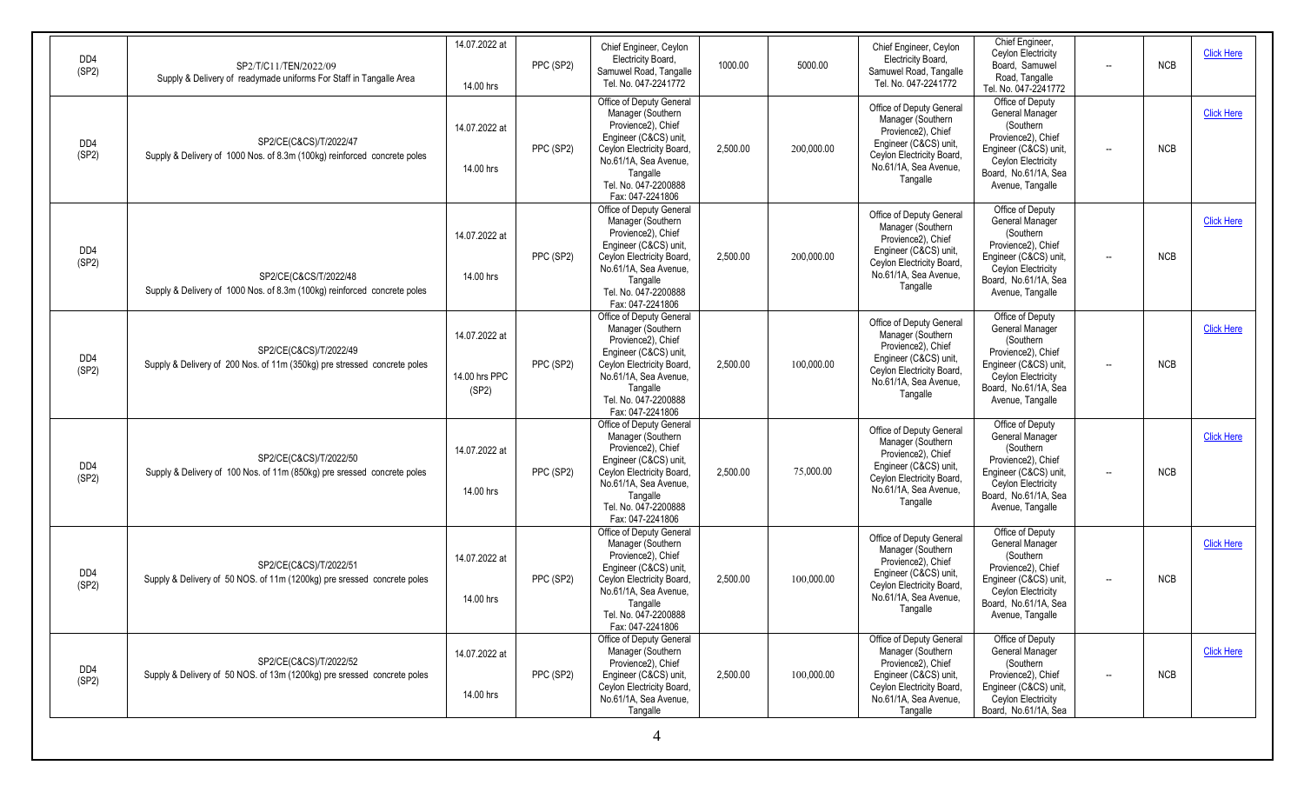| DD4<br>(SP2)             | SP2/T/C11/TEN/2022/09<br>Supply & Delivery of readymade uniforms For Staff in Tangalle Area        | 14.07.2022 at<br>14.00 hrs              | PPC (SP2) | Chief Engineer, Ceylon<br>Electricity Board,<br>Samuwel Road, Tangalle<br>Tel. No. 047-2241772                                                                                                             | 1000.00  | 5000.00    | Chief Engineer, Ceylon<br>Electricity Board,<br>Samuwel Road, Tangalle<br>Tel. No. 047-2241772                                                                 | Chief Engineer,<br>Ceylon Electricity<br>Board, Samuwel<br>$\overline{\phantom{a}}$<br>Road, Tangalle<br>Tel. No. 047-2241772                                                                 | <b>NCB</b> | <b>Click Here</b> |
|--------------------------|----------------------------------------------------------------------------------------------------|-----------------------------------------|-----------|------------------------------------------------------------------------------------------------------------------------------------------------------------------------------------------------------------|----------|------------|----------------------------------------------------------------------------------------------------------------------------------------------------------------|-----------------------------------------------------------------------------------------------------------------------------------------------------------------------------------------------|------------|-------------------|
| DD <sub>4</sub><br>(SP2) | SP2/CE(C&CS)/T/2022/47<br>Supply & Delivery of 1000 Nos. of 8.3m (100kg) reinforced concrete poles | 14.07.2022 at<br>14.00 hrs              | PPC (SP2) | Office of Deputy General<br>Manager (Southern<br>Provience2), Chief<br>Engineer (C&CS) unit,<br>Ceylon Electricity Board,<br>No.61/1A, Sea Avenue,<br>Tangalle<br>Tel. No. 047-2200888<br>Fax: 047-2241806 | 2,500.00 | 200,000.00 | Office of Deputy General<br>Manager (Southern<br>Provience2), Chief<br>Engineer (C&CS) unit,<br>Ceylon Electricity Board,<br>No.61/1A, Sea Avenue,<br>Tangalle | Office of Deputy<br>General Manager<br>(Southern<br>Provience2), Chief<br>Engineer (C&CS) unit,<br>$\overline{\phantom{a}}$<br>Ceylon Electricity<br>Board, No.61/1A, Sea<br>Avenue, Tangalle | <b>NCB</b> | <b>Click Here</b> |
| DD <sub>4</sub><br>(SP2) | SP2/CE(C&CS/T/2022/48<br>Supply & Delivery of 1000 Nos. of 8.3m (100kg) reinforced concrete poles  | 14.07.2022 at<br>14.00 hrs              | PPC (SP2) | Office of Deputy General<br>Manager (Southern<br>Provience2), Chief<br>Engineer (C&CS) unit,<br>Ceylon Electricity Board,<br>No.61/1A, Sea Avenue,<br>Tangalle<br>Tel. No. 047-2200888<br>Fax: 047-2241806 | 2,500.00 | 200,000.00 | Office of Deputy General<br>Manager (Southern<br>Provience2), Chief<br>Engineer (C&CS) unit<br>Ceylon Electricity Board,<br>No.61/1A, Sea Avenue,<br>Tangalle  | Office of Deputy<br>General Manager<br>(Southern<br>Provience2), Chief<br>Engineer (C&CS) unit,<br>Ceylon Electricity<br>Board, No.61/1A, Sea<br>Avenue, Tangalle                             | <b>NCB</b> | <b>Click Here</b> |
| DD4<br>(SP2)             | SP2/CE(C&CS)/T/2022/49<br>Supply & Delivery of 200 Nos. of 11m (350kg) pre stressed concrete poles | 14.07.2022 at<br>14.00 hrs PPC<br>(SP2) | PPC (SP2) | Office of Deputy General<br>Manager (Southern<br>Provience2), Chief<br>Engineer (C&CS) unit,<br>Ceylon Electricity Board,<br>No.61/1A, Sea Avenue,<br>Tangalle<br>Tel. No. 047-2200888<br>Fax: 047-2241806 | 2,500.00 | 100,000.00 | Office of Deputy General<br>Manager (Southern<br>Provience2), Chief<br>Engineer (C&CS) unit<br>Ceylon Electricity Board,<br>No.61/1A, Sea Avenue,<br>Tangalle  | Office of Deputy<br>General Manager<br>(Southern<br>Provience2). Chief<br>Engineer (C&CS) unit,<br>$\overline{\phantom{a}}$<br>Ceylon Electricity<br>Board, No.61/1A, Sea<br>Avenue, Tangalle | <b>NCB</b> | <b>Click Here</b> |
| DD4<br>(SP2)             | SP2/CE(C&CS)/T/2022/50<br>Supply & Delivery of 100 Nos. of 11m (850kg) pre sressed concrete poles  | 14.07.2022 at<br>14.00 hrs              | PPC (SP2) | Office of Deputy General<br>Manager (Southern<br>Provience2), Chief<br>Engineer (C&CS) unit,<br>Ceylon Electricity Board,<br>No.61/1A, Sea Avenue,<br>Tangalle<br>Tel. No. 047-2200888<br>Fax: 047-2241806 | 2,500.00 | 75,000.00  | Office of Deputy General<br>Manager (Southern<br>Provience2), Chief<br>Engineer (C&CS) unit,<br>Ceylon Electricity Board,<br>No.61/1A, Sea Avenue,<br>Tangalle | Office of Deputy<br>General Manager<br>(Southern<br>Provience2), Chief<br>Engineer (C&CS) unit,<br>$\overline{\phantom{a}}$<br>Ceylon Electricity<br>Board, No.61/1A, Sea<br>Avenue, Tangalle | <b>NCB</b> | <b>Click Here</b> |
| DD4<br>(SP2)             | SP2/CE(C&CS)/T/2022/51<br>Supply & Delivery of 50 NOS. of 11m (1200kg) pre sressed concrete poles  | 14.07.2022 at<br>14.00 hrs              | PPC (SP2) | Office of Deputy General<br>Manager (Southern<br>Provience2), Chief<br>Engineer (C&CS) unit,<br>Ceylon Electricity Board,<br>No.61/1A, Sea Avenue,<br>Tangalle<br>Tel. No. 047-2200888<br>Fax: 047-2241806 | 2,500.00 | 100,000.00 | Office of Deputy General<br>Manager (Southern<br>Provience2), Chief<br>Engineer (C&CS) unit<br>Ceylon Electricity Board,<br>No.61/1A. Sea Avenue.<br>Tangalle  | Office of Deputy<br>General Manager<br>(Southern<br>Provience2), Chief<br>Engineer (C&CS) unit,<br>$\overline{\phantom{a}}$<br>Ceylon Electricity<br>Board, No.61/1A. Sea<br>Avenue, Tangalle | <b>NCB</b> | <b>Click Here</b> |
| DD4<br>(SP2)             | SP2/CE(C&CS)/T/2022/52<br>Supply & Delivery of 50 NOS. of 13m (1200kg) pre sressed concrete poles  | 14.07.2022 at<br>14.00 hrs              | PPC (SP2) | Office of Deputy General<br>Manager (Southern<br>Provience2), Chief<br>Engineer (C&CS) unit,<br>Ceylon Electricity Board,<br>No.61/1A, Sea Avenue,<br>Tangalle                                             | 2,500.00 | 100,000.00 | Office of Deputy General<br>Manager (Southern<br>Provience2), Chief<br>Engineer (C&CS) unit,<br>Ceylon Electricity Board,<br>No.61/1A, Sea Avenue,<br>Tangalle | Office of Deputy<br>General Manager<br>(Southern<br>Provience2), Chief<br>$\overline{\phantom{a}}$<br>Engineer (C&CS) unit,<br>Ceylon Electricity<br>Board, No.61/1A, Sea                     | <b>NCB</b> | <b>Click Here</b> |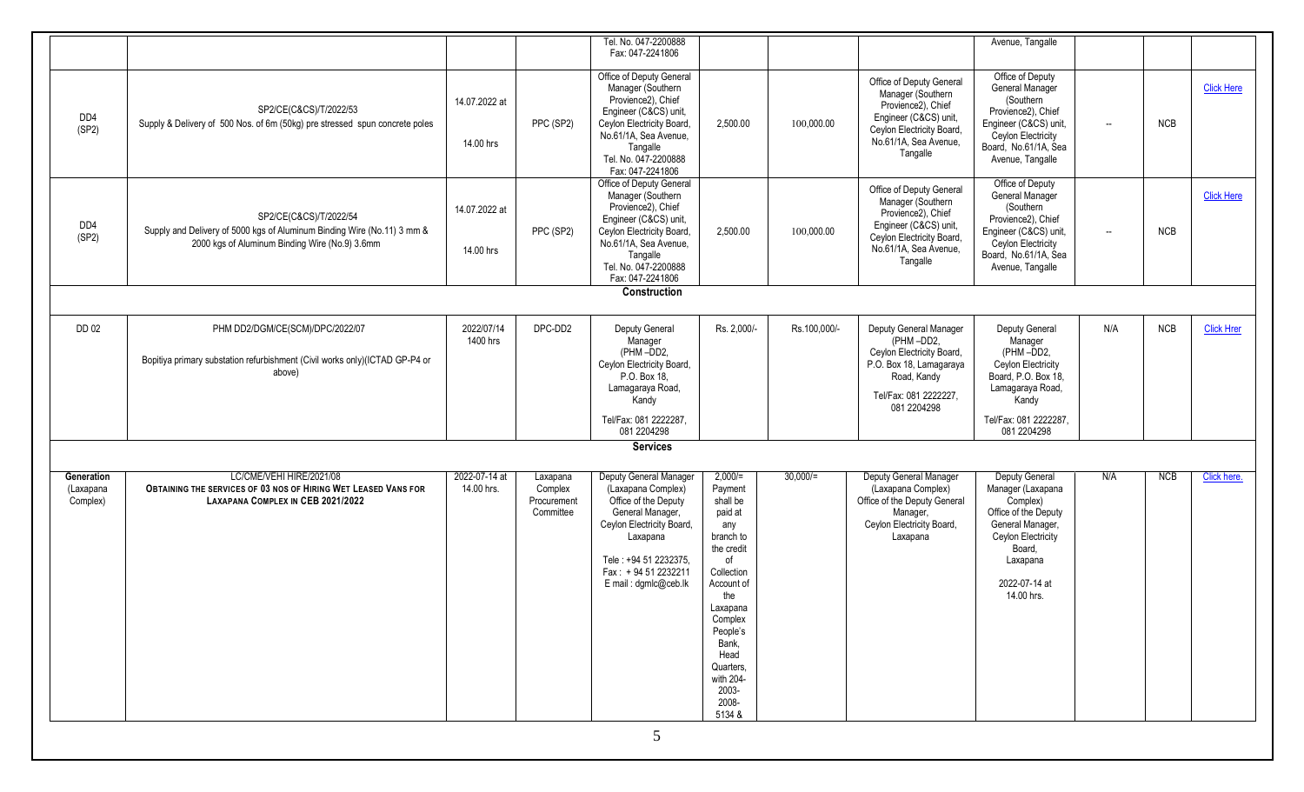|                                     |                                                                                                                                                     |                             |                                                 | Tel. No. 047-2200888                                                                                                                                                                                           |                                                                                                                                                                                                                                  |              |                                                                                                                                                                | Avenue, Tangalle                                                                                                                                                       |                          |            |                   |
|-------------------------------------|-----------------------------------------------------------------------------------------------------------------------------------------------------|-----------------------------|-------------------------------------------------|----------------------------------------------------------------------------------------------------------------------------------------------------------------------------------------------------------------|----------------------------------------------------------------------------------------------------------------------------------------------------------------------------------------------------------------------------------|--------------|----------------------------------------------------------------------------------------------------------------------------------------------------------------|------------------------------------------------------------------------------------------------------------------------------------------------------------------------|--------------------------|------------|-------------------|
|                                     |                                                                                                                                                     |                             |                                                 | Fax: 047-2241806                                                                                                                                                                                               |                                                                                                                                                                                                                                  |              |                                                                                                                                                                |                                                                                                                                                                        |                          |            |                   |
| DD4<br>(SP2)                        | SP2/CE(C&CS)/T/2022/53<br>Supply & Delivery of 500 Nos. of 6m (50kg) pre stressed spun concrete poles                                               | 14.07.2022 at<br>14.00 hrs  | PPC (SP2)                                       | Office of Deputy General<br>Manager (Southern<br>Provience2), Chief<br>Engineer (C&CS) unit,<br>Ceylon Electricity Board,<br>No.61/1A, Sea Avenue,<br>Tangalle<br>Tel. No. 047-2200888<br>Fax: 047-2241806     | 2,500.00                                                                                                                                                                                                                         | 100,000.00   | Office of Deputy General<br>Manager (Southern<br>Provience2), Chief<br>Engineer (C&CS) unit,<br>Ceylon Electricity Board,<br>No.61/1A, Sea Avenue,<br>Tangalle | Office of Deputy<br>General Manager<br>(Southern<br>Provience2), Chief<br>Engineer (C&CS) unit,<br>Ceylon Electricity<br>Board, No.61/1A, Sea<br>Avenue, Tangalle      | $\overline{\phantom{a}}$ | <b>NCB</b> | <b>Click Here</b> |
| DD4<br>(SP2)                        | SP2/CE(C&CS)/T/2022/54<br>Supply and Delivery of 5000 kgs of Aluminum Binding Wire (No.11) 3 mm &<br>2000 kgs of Aluminum Binding Wire (No.9) 3.6mm | 14.07.2022 at<br>14.00 hrs  | PPC (SP2)                                       | Office of Deputy General<br>Manager (Southern<br>Provience2), Chief<br>Engineer (C&CS) unit,<br>Ceylon Electricity Board<br>No.61/1A, Sea Avenue,<br>Tangalle<br>Tel. No. 047-2200888<br>Fax: 047-2241806      | 2,500.00                                                                                                                                                                                                                         | 100,000.00   | Office of Deputy General<br>Manager (Southern<br>Provience2), Chief<br>Engineer (C&CS) unit,<br>Ceylon Electricity Board,<br>No.61/1A, Sea Avenue,<br>Tangalle | Office of Deputy<br>General Manager<br>(Southern<br>Provience2), Chief<br>Engineer (C&CS) unit,<br>Ceylon Electricity<br>Board, No.61/1A, Sea<br>Avenue, Tangalle      | $\overline{\phantom{a}}$ | <b>NCB</b> | <b>Click Here</b> |
|                                     |                                                                                                                                                     |                             |                                                 | Construction                                                                                                                                                                                                   |                                                                                                                                                                                                                                  |              |                                                                                                                                                                |                                                                                                                                                                        |                          |            |                   |
| DD 02                               | PHM DD2/DGM/CE(SCM)/DPC/2022/07                                                                                                                     | 2022/07/14                  | DPC-DD2                                         | Deputy General                                                                                                                                                                                                 | Rs. 2,000/-                                                                                                                                                                                                                      | Rs.100,000/- | Deputy General Manager                                                                                                                                         | Deputy General                                                                                                                                                         | N/A                      | NCB        | <b>Click Hren</b> |
|                                     | Bopitiya primary substation refurbishment (Civil works only)(ICTAD GP-P4 or<br>above)                                                               | 1400 hrs                    |                                                 | Manager<br>(PHM-DD2,<br>Ceylon Electricity Board,<br>P.O. Box 18,<br>Lamagaraya Road,<br>Kandy<br>Tel/Fax: 081 2222287,                                                                                        |                                                                                                                                                                                                                                  |              | (PHM-DD2,<br>Ceylon Electricity Board,<br>P.O. Box 18, Lamagaraya<br>Road, Kandy<br>Tel/Fax: 081 2222227.<br>081 2204298                                       | Manager<br>(PHM-DD2,<br>Ceylon Electricity<br>Board, P.O. Box 18,<br>Lamagaraya Road,<br>Kandy                                                                         |                          |            |                   |
|                                     |                                                                                                                                                     |                             |                                                 | 081 2204298                                                                                                                                                                                                    |                                                                                                                                                                                                                                  |              |                                                                                                                                                                | Tel/Fax: 081 2222287,<br>081 2204298                                                                                                                                   |                          |            |                   |
|                                     |                                                                                                                                                     |                             |                                                 | <b>Services</b>                                                                                                                                                                                                |                                                                                                                                                                                                                                  |              |                                                                                                                                                                |                                                                                                                                                                        |                          |            |                   |
|                                     |                                                                                                                                                     |                             |                                                 |                                                                                                                                                                                                                |                                                                                                                                                                                                                                  |              |                                                                                                                                                                |                                                                                                                                                                        |                          |            |                   |
| Generation<br>(Laxapana<br>Complex) | LC/CME/VEHI HIRE/2021/08<br>OBTAINING THE SERVICES OF 03 NOS OF HIRING WET LEASED VANS FOR<br>LAXAPANA COMPLEX IN CEB 2021/2022                     | 2022-07-14 at<br>14.00 hrs. | Laxapana<br>Complex<br>Procurement<br>Committee | Deputy General Manager<br>(Laxapana Complex)<br>Office of the Deputy<br>General Manager,<br>Ceylon Electricity Board,<br>Laxapana<br>Tele: +94 51 2232375,<br>Fax: +94 51 2232211<br>E mail: dgmlc@ceb.lk<br>5 | $2,000 =$<br>Payment<br>shall be<br>paid at<br>any<br>branch to<br>the credit<br>of<br>Collection<br>Account of<br>the<br>Laxapana<br>Complex<br>People's<br>Bank,<br>Head<br>Quarters.<br>with 204-<br>2003-<br>2008-<br>5134 & | $30,000/$ =  | Deputy General Manager<br>(Laxapana Complex)<br>Office of the Deputy General<br>Manager,<br>Ceylon Electricity Board,<br>Laxapana                              | Deputy General<br>Manager (Laxapana<br>Complex)<br>Office of the Deputy<br>General Manager,<br>Ceylon Electricity<br>Board,<br>Laxapana<br>2022-07-14 at<br>14.00 hrs. | N/A                      | <b>NCB</b> | Click here.       |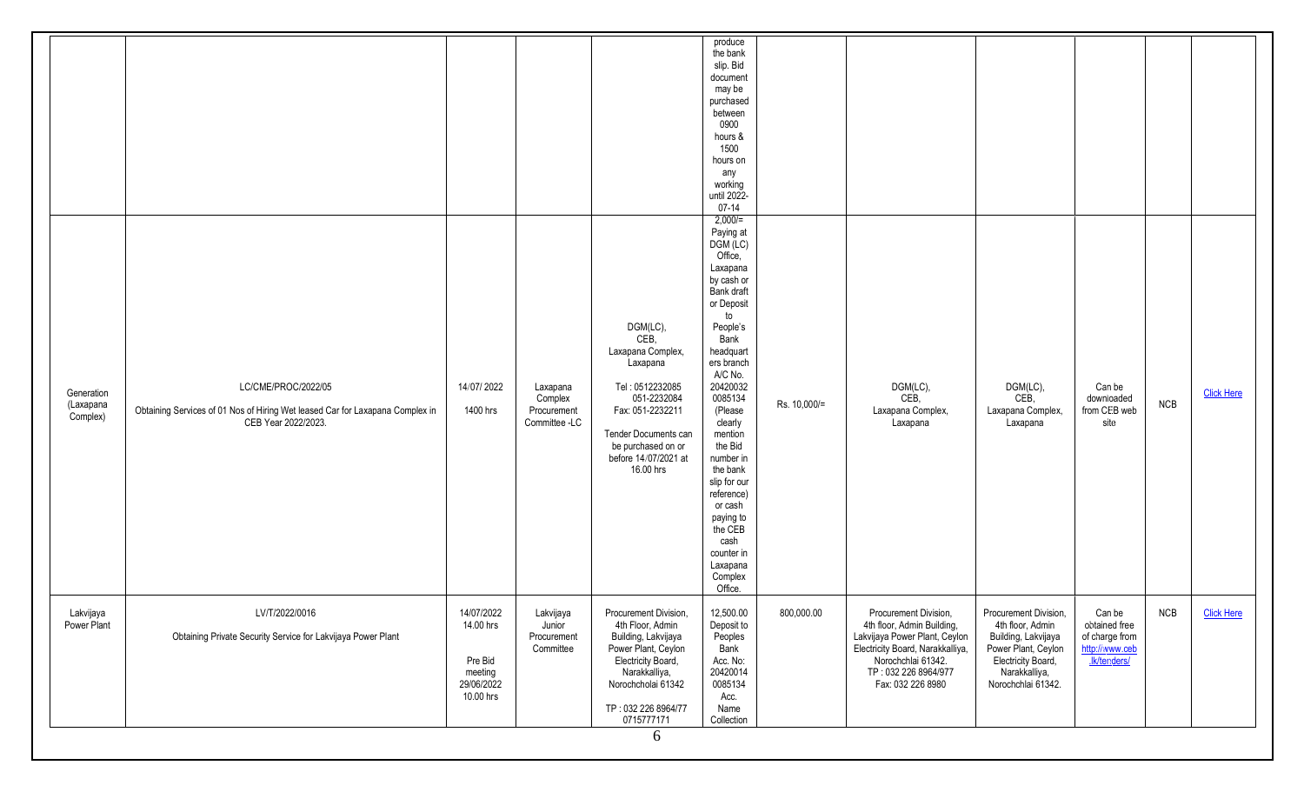|                                     |                                                                                                                             |                                                                          |                                                     |                                                                                                                                                                                            | the bank<br>slip. Bid<br>document<br>may be<br>purchased<br>between<br>0900<br>hours &<br>1500<br>hours on<br>any<br>working<br>until 2022-<br>$07 - 14$<br>$2,000 =$                                                                                                                                                                                                       |              |                                                                                                                                                                                             |                                                                                                                                                      |                                                                             |            |                   |
|-------------------------------------|-----------------------------------------------------------------------------------------------------------------------------|--------------------------------------------------------------------------|-----------------------------------------------------|--------------------------------------------------------------------------------------------------------------------------------------------------------------------------------------------|-----------------------------------------------------------------------------------------------------------------------------------------------------------------------------------------------------------------------------------------------------------------------------------------------------------------------------------------------------------------------------|--------------|---------------------------------------------------------------------------------------------------------------------------------------------------------------------------------------------|------------------------------------------------------------------------------------------------------------------------------------------------------|-----------------------------------------------------------------------------|------------|-------------------|
| Generation<br>(Laxapana<br>Complex) | LC/CME/PROC/2022/05<br>Obtaining Services of 01 Nos of Hiring Wet leased Car for Laxapana Complex in<br>CEB Year 2022/2023. | 14/07/2022<br>1400 hrs                                                   | Laxapana<br>Complex<br>Procurement<br>Committee -LC | DGM(LC),<br>CEB,<br>Laxapana Complex,<br>Laxapana<br>Tel: 0512232085<br>051-2232084<br>Fax: 051-2232211<br>Tender Documents can<br>be purchased on or<br>before 14/07/2021 at<br>16.00 hrs | Paying at<br>DGM (LC)<br>Office,<br>Laxapana<br>by cash or<br>Bank draft<br>or Deposit<br>to<br>People's<br>Bank<br>headquart<br>ers branch<br>A/C No.<br>20420032<br>0085134<br>(Please<br>clearly<br>mention<br>the Bid<br>number in<br>the bank<br>slip for our<br>reference)<br>or cash<br>paying to<br>the CEB<br>cash<br>counter in<br>Laxapana<br>Complex<br>Office. | Rs. 10,000/= | DGM(LC),<br>CEB,<br>Laxapana Complex,<br>Laxapana                                                                                                                                           | DGM(LC),<br>CEB,<br>Laxapana Complex,<br>Laxapana                                                                                                    | Can be<br>downloaded<br>from CEB web<br>site                                | <b>NCB</b> | <b>Click Here</b> |
| Lakvijaya<br>Power Plant            | LV/T/2022/0016<br>Obtaining Private Security Service for Lakvijaya Power Plant                                              | 14/07/2022<br>14.00 hrs<br>Pre Bid<br>meeting<br>29/06/2022<br>10.00 hrs | Lakvijaya<br>Junior<br>Procurement<br>Committee     | Procurement Division,<br>4th Floor, Admin<br>Building, Lakvijaya<br>Power Plant, Ceylon<br>Electricity Board,<br>Narakkalliya,<br>Norochcholai 61342<br>TP: 032 226 8964/77<br>0715777171  | 12,500.00<br>Deposit to<br>Peoples<br>Bank<br>Acc. No:<br>20420014<br>0085134<br>Acc.<br>Name<br>Collection                                                                                                                                                                                                                                                                 | 800,000.00   | Procurement Division,<br>4th floor, Admin Building,<br>Lakvijaya Power Plant, Ceylon<br>Electricity Board, Narakkalliya,<br>Norochchlai 61342.<br>TP: 032 226 8964/977<br>Fax: 032 226 8980 | Procurement Division,<br>4th floor, Admin<br>Building, Lakvijaya<br>Power Plant, Ceylon<br>Electricity Board,<br>Narakkalliya,<br>Norochchlai 61342. | Can be<br>obtained free<br>of charge from<br>http://www.ceb<br>.ik/tenders/ | NCB        | <b>Click Here</b> |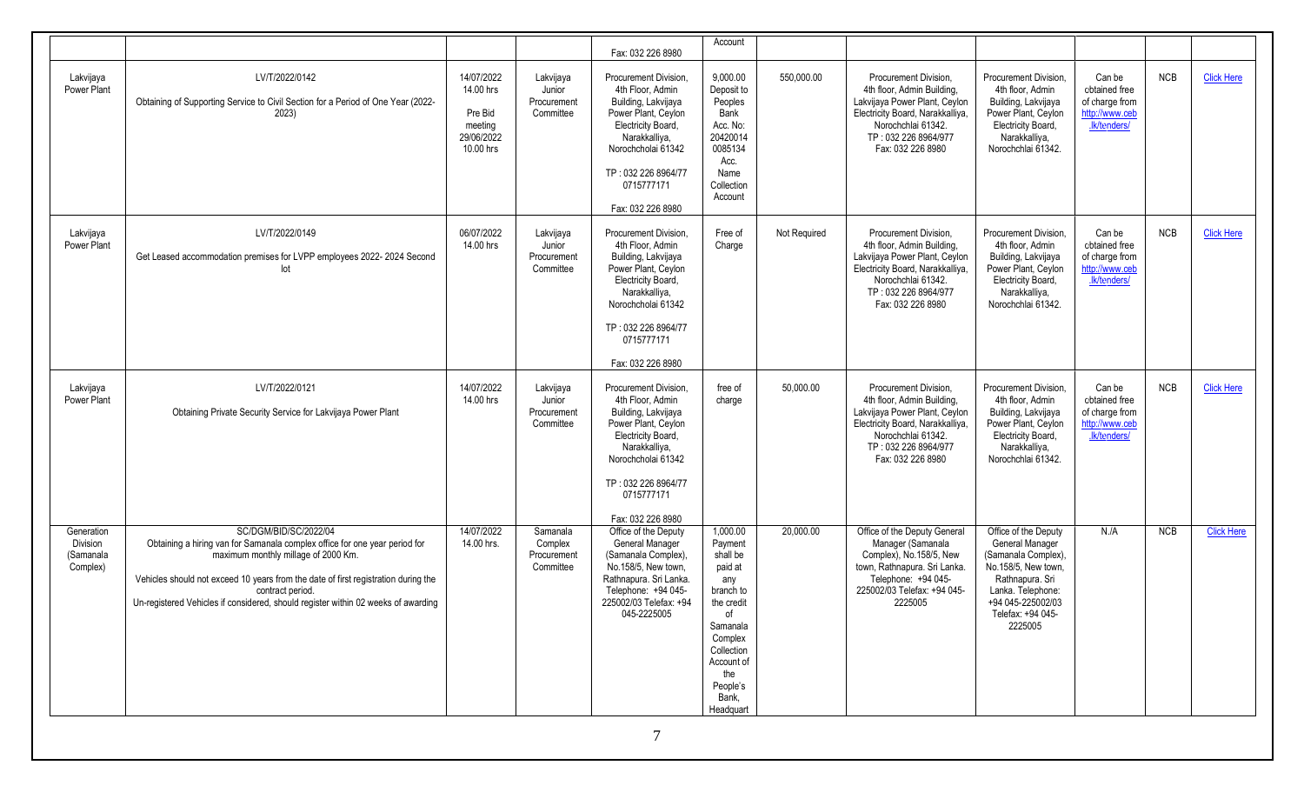|                                                        |                                                                                                                                                                                                                                                                                                                                           |                                                                          |                                                 | Fax: 032 226 8980                                                                                                                                                                                              | Account                                                                                                                                                                        |              |                                                                                                                                                                                             |                                                                                                                                                                                    |                                                                             |            |                   |
|--------------------------------------------------------|-------------------------------------------------------------------------------------------------------------------------------------------------------------------------------------------------------------------------------------------------------------------------------------------------------------------------------------------|--------------------------------------------------------------------------|-------------------------------------------------|----------------------------------------------------------------------------------------------------------------------------------------------------------------------------------------------------------------|--------------------------------------------------------------------------------------------------------------------------------------------------------------------------------|--------------|---------------------------------------------------------------------------------------------------------------------------------------------------------------------------------------------|------------------------------------------------------------------------------------------------------------------------------------------------------------------------------------|-----------------------------------------------------------------------------|------------|-------------------|
| Lakvijaya<br>Power Plant                               | LV/T/2022/0142<br>Obtaining of Supporting Service to Civil Section for a Period of One Year (2022-<br>2023)                                                                                                                                                                                                                               | 14/07/2022<br>14.00 hrs<br>Pre Bid<br>meeting<br>29/06/2022<br>10.00 hrs | Lakvijaya<br>Junior<br>Procurement<br>Committee | Procurement Division.<br>4th Floor, Admin<br>Building, Lakvijaya<br>Power Plant, Ceylon<br>Electricity Board,<br>Narakkalliya,<br>Norochcholai 61342<br>TP: 032 226 8964/77<br>0715777171<br>Fax: 032 226 8980 | 9,000.00<br>Deposit to<br>Peoples<br><b>Bank</b><br>Acc. No:<br>20420014<br>0085134<br>Acc.<br>Name<br>Collection<br>Account                                                   | 550,000.00   | Procurement Division,<br>4th floor, Admin Building,<br>Lakvijaya Power Plant, Ceylon<br>Electricity Board, Narakkalliya,<br>Norochchlai 61342.<br>TP: 032 226 8964/977<br>Fax: 032 226 8980 | Procurement Division,<br>4th floor, Admin<br>Building, Lakvijaya<br>Power Plant, Ceylon<br>Electricity Board,<br>Narakkalliya,<br>Norochchlai 61342.                               | Can be<br>obtained free<br>of charge from<br>http://www.ceb<br>.lk/tenders/ | NCB        | <b>Click Here</b> |
| Lakvijaya<br>Power Plant                               | LV/T/2022/0149<br>Get Leased accommodation premises for LVPP employees 2022-2024 Second                                                                                                                                                                                                                                                   | 06/07/2022<br>14.00 hrs                                                  | Lakvijaya<br>Junior<br>Procurement<br>Committee | Procurement Division.<br>4th Floor, Admin<br>Building, Lakvijaya<br>Power Plant, Ceylon<br>Electricity Board,<br>Narakkalliya,<br>Norochcholai 61342<br>TP: 032 226 8964/77<br>0715777171<br>Fax: 032 226 8980 | Free of<br>Charge                                                                                                                                                              | Not Required | Procurement Division,<br>4th floor, Admin Building,<br>Lakvijaya Power Plant, Ceylon<br>Electricity Board, Narakkalliya,<br>Norochchlai 61342.<br>TP: 032 226 8964/977<br>Fax: 032 226 8980 | Procurement Division,<br>4th floor, Admin<br>Building, Lakvijaya<br>Power Plant, Ceylon<br>Electricity Board,<br>Narakkalliya,<br>Norochchlai 61342.                               | Can be<br>obtained free<br>of charge from<br>http://www.ceb<br>.lk/tenders/ | NCB        | <b>Click Here</b> |
| Lakvijaya<br>Power Plant                               | LV/T/2022/0121<br>Obtaining Private Security Service for Lakvijaya Power Plant                                                                                                                                                                                                                                                            | 14/07/2022<br>14.00 hrs                                                  | Lakvijaya<br>Junior<br>Procurement<br>Committee | Procurement Division,<br>4th Floor, Admin<br>Building, Lakvijaya<br>Power Plant, Ceylon<br>Electricity Board,<br>Narakkalliya,<br>Norochcholai 61342<br>TP: 032 226 8964/77<br>0715777171<br>Fax: 032 226 8980 | free of<br>charge                                                                                                                                                              | 50,000.00    | Procurement Division,<br>4th floor, Admin Building,<br>Lakvijaya Power Plant, Ceylon<br>Electricity Board, Narakkalliya,<br>Norochchlai 61342.<br>TP: 032 226 8964/977<br>Fax: 032 226 8980 | Procurement Division.<br>4th floor, Admin<br>Building, Lakvijaya<br>Power Plant, Ceylon<br>Electricity Board,<br>Narakkalliya,<br>Norochchlai 61342.                               | Can be<br>obtained free<br>of charge from<br>http://www.ceb<br>.lk/tenders/ | <b>NCB</b> | <b>Click Here</b> |
| Generation<br><b>Division</b><br>(Samanala<br>Complex) | SC/DGM/BID/SC/2022/04<br>Obtaining a hiring van for Samanala complex office for one year period for<br>maximum monthly millage of 2000 Km.<br>Vehicles should not exceed 10 years from the date of first registration during the<br>contract period.<br>Un-registered Vehicles if considered, should register within 02 weeks of awarding | 14/07/2022<br>14.00 hrs.                                                 | Samanala<br>Complex<br>Procurement<br>Committee | Office of the Deputy<br><b>General Manager</b><br>(Samanala Complex),<br>No.158/5, New town,<br>Rathnapura, Sri Lanka.<br>Telephone: +94 045-<br>225002/03 Telefax: +94<br>045-2225005                         | 1,000.00<br>Payment<br>shall be<br>paid at<br>any<br>branch to<br>the credit<br>of<br>Samanala<br>Complex<br>Collection<br>Account of<br>the<br>People's<br>Bank,<br>Headquart | 20,000.00    | Office of the Deputy General<br>Manager (Samanala<br>Complex), No.158/5, New<br>town, Rathnapura. Sri Lanka.<br>Telephone: +94 045-<br>225002/03 Telefax: +94 045-<br>2225005               | Office of the Deputy<br>General Manager<br>(Samanala Complex).<br>No.158/5, New town,<br>Rathnapura. Sri<br>Lanka. Telephone:<br>+94 045-225002/03<br>Telefax: +94 045-<br>2225005 | N/A                                                                         | NCB        | <b>Click Here</b> |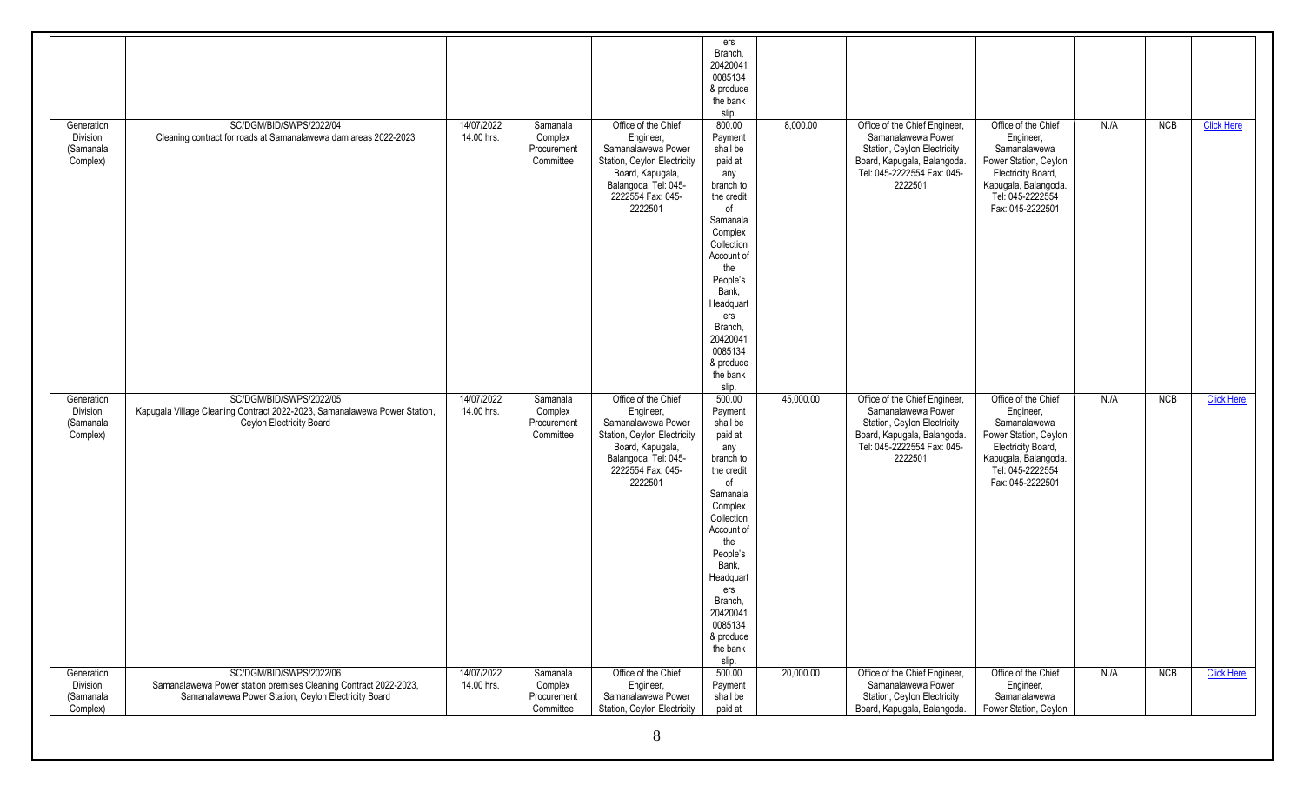|                                                 |                                                                                                                                                     |                          |                                                 |                                                                                                                                                                   | ers<br>Branch,<br>20420041<br>0085134<br>& produce<br>the bank<br>slip.                                                                                                                                                                                 |           |                                                                                                                                                            |                                                                                                                                                                 |     |     |                   |
|-------------------------------------------------|-----------------------------------------------------------------------------------------------------------------------------------------------------|--------------------------|-------------------------------------------------|-------------------------------------------------------------------------------------------------------------------------------------------------------------------|---------------------------------------------------------------------------------------------------------------------------------------------------------------------------------------------------------------------------------------------------------|-----------|------------------------------------------------------------------------------------------------------------------------------------------------------------|-----------------------------------------------------------------------------------------------------------------------------------------------------------------|-----|-----|-------------------|
| Generation<br>Division<br>(Samanala<br>Complex) | SC/DGM/BID/SWPS/2022/04<br>Cleaning contract for roads at Samanalawewa dam areas 2022-2023                                                          | 14/07/2022<br>14.00 hrs. | Samanala<br>Complex<br>Procurement<br>Committee | Office of the Chief<br>Engineer,<br>Samanalawewa Power<br>Station, Ceylon Electricity<br>Board, Kapugala,<br>Balangoda. Tel: 045-<br>2222554 Fax: 045-<br>2222501 | 800.00<br>Payment<br>shall be<br>paid at<br>any<br>branch to<br>the credit<br>of<br>Samanala<br>Complex<br>Collection<br>Account of<br>the<br>People's<br>Bank,<br>Headquart<br>ers<br>Branch,<br>20420041<br>0085134<br>& produce<br>the bank<br>slip. | 8,000.00  | Office of the Chief Engineer,<br>Samanalawewa Power<br>Station, Ceylon Electricity<br>Board, Kapugala, Balangoda.<br>Tel: 045-2222554 Fax: 045-<br>2222501 | Office of the Chief<br>Engineer,<br>Samanalawewa<br>Power Station, Ceylon<br>Electricity Board,<br>Kapugala, Balangoda.<br>Tel: 045-2222554<br>Fax: 045-2222501 | N.A | NCB | <b>Click Here</b> |
| Generation<br>Division<br>(Samanala<br>Complex) | SC/DGM/BID/SWPS/2022/05<br>Kapugala Village Cleaning Contract 2022-2023, Samanalawewa Power Station,<br>Ceylon Electricity Board                    | 14/07/2022<br>14.00 hrs. | Samanala<br>Complex<br>Procurement<br>Committee | Office of the Chief<br>Engineer,<br>Samanalawewa Power<br>Station, Ceylon Electricity<br>Board, Kapugala,<br>Balangoda. Tel: 045-<br>2222554 Fax: 045-<br>2222501 | 500.00<br>Payment<br>shall be<br>paid at<br>any<br>branch to<br>the credit<br>0f<br>Samanala<br>Complex<br>Collection<br>Account of<br>the<br>People's<br>Bank,<br>Headquart<br>ers<br>Branch,<br>20420041<br>0085134<br>& produce<br>the bank<br>slip. | 45,000.00 | Office of the Chief Engineer,<br>Samanalawewa Power<br>Station, Ceylon Electricity<br>Board, Kapugala, Balangoda.<br>Tel: 045-2222554 Fax: 045-<br>2222501 | Office of the Chief<br>Engineer,<br>Samanalawewa<br>Power Station, Ceylon<br>Electricity Board,<br>Kapugala, Balangoda.<br>Tel: 045-2222554<br>Fax: 045-2222501 | N.A | NCB | <b>Click Here</b> |
| Generation<br>Division<br>(Samanala<br>Complex) | SC/DGM/BID/SWPS/2022/06<br>Samanalawewa Power station premises Cleaning Contract 2022-2023,<br>Samanalawewa Power Station, Ceylon Electricity Board | 14/07/2022<br>14.00 hrs. | Samanala<br>Complex<br>Procurement<br>Committee | Office of the Chief<br>Engineer,<br>Samanalawewa Power<br>Station, Ceylon Electricity                                                                             | 500.00<br>Payment<br>shall be<br>paid at                                                                                                                                                                                                                | 20,000.00 | Office of the Chief Engineer,<br>Samanalawewa Power<br>Station, Ceylon Electricity<br>Board, Kapugala, Balangoda.                                          | Office of the Chief<br>Engineer,<br>Samanalawewa<br>Power Station, Ceylon                                                                                       | N.A | NCB | <b>Click Here</b> |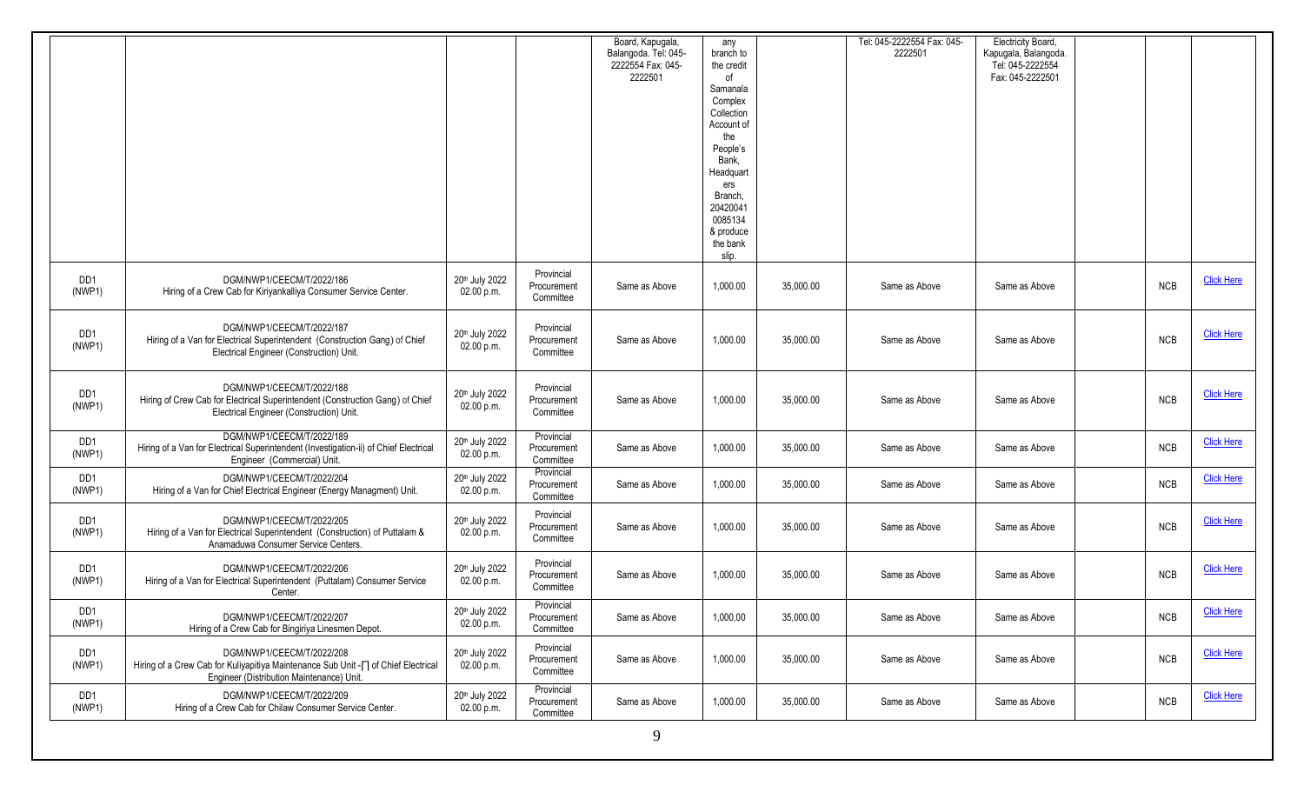|               |                                                                                                                                                                     |                                |                                        | Board, Kapugala,<br>Balangoda. Tel: 045-<br>2222554 Fax: 045-<br>2222501 | any<br>branch to<br>the credit<br>of<br>Samanala<br>Complex<br>Collection<br>Account of<br>the<br>People's<br>Bank.<br>Headquart<br>ers<br>Branch.<br>20420041<br>0085134<br>& produce<br>the bank<br>slip. |           | Tel: 045-2222554 Fax: 045-<br>2222501 | Electricity Board,<br>Kapugala, Balangoda.<br>Tel: 045-2222554<br>Fax: 045-2222501 |            |                   |
|---------------|---------------------------------------------------------------------------------------------------------------------------------------------------------------------|--------------------------------|----------------------------------------|--------------------------------------------------------------------------|-------------------------------------------------------------------------------------------------------------------------------------------------------------------------------------------------------------|-----------|---------------------------------------|------------------------------------------------------------------------------------|------------|-------------------|
| DD1<br>(NWP1) | DGM/NWP1/CEECM/T/2022/186<br>Hiring of a Crew Cab for Kiriyankalliya Consumer Service Center.                                                                       | 20th July 2022<br>02.00 p.m.   | Provincial<br>Procurement<br>Committee | Same as Above                                                            | 1,000.00                                                                                                                                                                                                    | 35,000.00 | Same as Above                         | Same as Above                                                                      | <b>NCB</b> | <b>Click Here</b> |
| DD1<br>(NWP1) | DGM/NWP1/CEECM/T/2022/187<br>Hiring of a Van for Electrical Superintendent (Construction Gang) of Chief<br>Electrical Engineer (Construction) Unit.                 | 20th July 2022<br>02.00 p.m.   | Provincial<br>Procurement<br>Committee | Same as Above                                                            | 1,000.00                                                                                                                                                                                                    | 35,000.00 | Same as Above                         | Same as Above                                                                      | <b>NCB</b> | <b>Click Here</b> |
| DD1<br>(NWP1) | DGM/NWP1/CEECM/T/2022/188<br>Hiring of Crew Cab for Electrical Superintendent (Construction Gang) of Chief<br>Electrical Engineer (Construction) Unit.              | 20th July 2022<br>02.00 p.m.   | Provincial<br>Procurement<br>Committee | Same as Above                                                            | 1,000.00                                                                                                                                                                                                    | 35,000.00 | Same as Above                         | Same as Above                                                                      | <b>NCB</b> | <b>Click Here</b> |
| DD1<br>(NWP1) | DGM/NWP1/CEECM/T/2022/189<br>Hiring of a Van for Electrical Superintendent (Investigation-ii) of Chief Electrical<br>Engineer (Commercial) Unit.                    | 20th July 2022<br>02.00 p.m.   | Provincial<br>Procurement<br>Committee | Same as Above                                                            | 1,000.00                                                                                                                                                                                                    | 35,000.00 | Same as Above                         | Same as Above                                                                      | <b>NCB</b> | <b>Click Here</b> |
| DD1<br>(NWP1) | DGM/NWP1/CEECM/T/2022/204<br>Hiring of a Van for Chief Electrical Engineer (Energy Managment) Unit.                                                                 | 20th July 2022<br>02.00 p.m.   | Provincial<br>Procurement<br>Committee | Same as Above                                                            | 1,000.00                                                                                                                                                                                                    | 35,000.00 | Same as Above                         | Same as Above                                                                      | <b>NCB</b> | <b>Click Here</b> |
| DD1<br>(NWP1) | DGM/NWP1/CEECM/T/2022/205<br>Hiring of a Van for Electrical Superintendent (Construction) of Puttalam &<br>Anamaduwa Consumer Service Centers.                      | 20th July 2022<br>02.00 p.m.   | Provincial<br>Procurement<br>Committee | Same as Above                                                            | 1,000.00                                                                                                                                                                                                    | 35,000.00 | Same as Above                         | Same as Above                                                                      | <b>NCB</b> | <b>Click Here</b> |
| DD1<br>(NWP1) | DGM/NWP1/CEECM/T/2022/206<br>Hiring of a Van for Electrical Superintendent (Puttalam) Consumer Service<br>Center.                                                   | 20th July 2022<br>02.00 p.m.   | Provincial<br>Procurement<br>Committee | Same as Above                                                            | 1,000.00                                                                                                                                                                                                    | 35,000.00 | Same as Above                         | Same as Above                                                                      | <b>NCB</b> | <b>Click Here</b> |
| DD1<br>(NWP1) | DGM/NWP1/CEECM/T/2022/207<br>Hiring of a Crew Cab for Bingiriya Linesmen Depot.                                                                                     | 20th July 2022<br>$02.00$ p.m. | Provincial<br>Procurement<br>Committee | Same as Above                                                            | 1,000.00                                                                                                                                                                                                    | 35,000.00 | Same as Above                         | Same as Above                                                                      | <b>NCB</b> | <b>Click Here</b> |
| DD1<br>(NWP1) | DGM/NWP1/CEECM/T/2022/208<br>Hiring of a Crew Cab for Kuliyapitiya Maintenance Sub Unit - $\sqcap$ of Chief Electrical<br>Engineer (Distribution Maintenance) Unit. | 20th July 2022<br>$02.00$ p.m. | Provincial<br>Procurement<br>Committee | Same as Above                                                            | 1,000.00                                                                                                                                                                                                    | 35,000.00 | Same as Above                         | Same as Above                                                                      | <b>NCB</b> | <b>Click Here</b> |
| DD1<br>(NWP1) | DGM/NWP1/CEECM/T/2022/209<br>Hiring of a Crew Cab for Chilaw Consumer Service Center.                                                                               | 20th July 2022<br>02.00 p.m.   | Provincial<br>Procurement<br>Committee | Same as Above                                                            | 1,000.00                                                                                                                                                                                                    | 35,000.00 | Same as Above                         | Same as Above                                                                      | <b>NCB</b> | <b>Click Here</b> |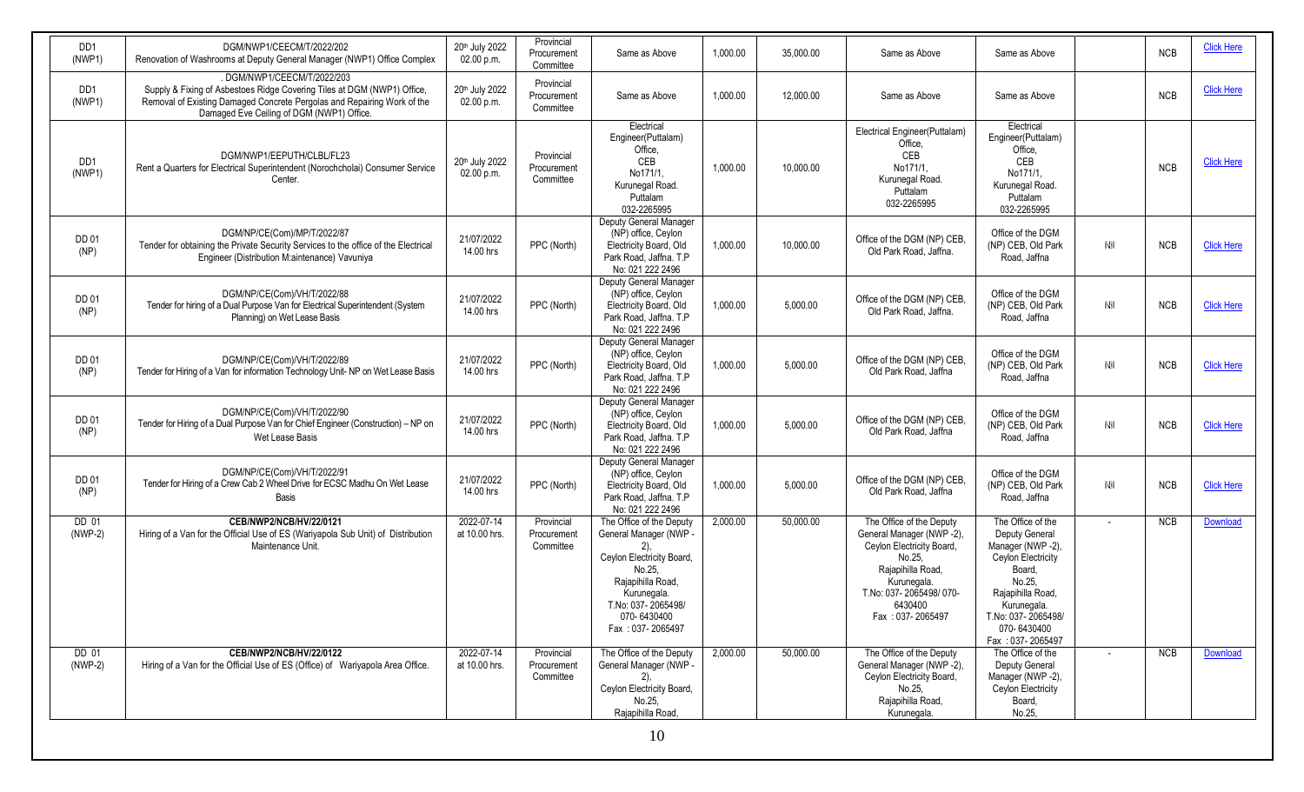| DD <sub>1</sub><br>(NWP1) | DGM/NWP1/CEECM/T/2022/202<br>Renovation of Washrooms at Deputy General Manager (NWP1) Office Complex                                                                                                                          | 20th July 2022<br>02.00 p.m. | Provincial<br>Procurement                           | Same as Above                                                                                                                                                                                    | 1,000.00 | 35,000.00 | Same as Above                                                                                                                                                                             | Same as Above                                                                                                                                                                                  |                | <b>NCB</b> | <b>Click Here</b> |
|---------------------------|-------------------------------------------------------------------------------------------------------------------------------------------------------------------------------------------------------------------------------|------------------------------|-----------------------------------------------------|--------------------------------------------------------------------------------------------------------------------------------------------------------------------------------------------------|----------|-----------|-------------------------------------------------------------------------------------------------------------------------------------------------------------------------------------------|------------------------------------------------------------------------------------------------------------------------------------------------------------------------------------------------|----------------|------------|-------------------|
| DD <sub>1</sub><br>(NWP1) | .DGM/NWP1/CEECM/T/2022/203<br>Supply & Fixing of Asbestoes Ridge Covering Tiles at DGM (NWP1) Office,<br>Removal of Existing Damaged Concrete Pergolas and Repairing Work of the<br>Damaged Eve Ceiling of DGM (NWP1) Office. | 20th July 2022<br>02.00 p.m. | Committee<br>Provincial<br>Procurement<br>Committee | Same as Above                                                                                                                                                                                    | 1,000.00 | 12,000.00 | Same as Above                                                                                                                                                                             | Same as Above                                                                                                                                                                                  |                | <b>NCB</b> | <b>Click Here</b> |
| DD1<br>(NWP1)             | DGM/NWP1/EEPUTH/CLBL/FL23<br>Rent a Quarters for Electrical Superintendent (Norochcholai) Consumer Service<br>Center.                                                                                                         | 20th July 2022<br>02.00 p.m. | Provincial<br>Procurement<br>Committee              | Electrical<br>Engineer(Puttalam)<br>Office.<br>CEB<br>No171/1,<br>Kurunegal Road.<br>Puttalam<br>032-2265995                                                                                     | 1,000.00 | 10,000.00 | Electrical Engineer(Puttalam)<br>Office.<br>CEB<br>No171/1.<br>Kurunegal Road.<br>Puttalam<br>032-2265995                                                                                 | Electrical<br>Engineer(Puttalam)<br>Office.<br>CEB<br>No171/1,<br>Kurunegal Road.<br>Puttalam<br>032-2265995                                                                                   |                | <b>NCB</b> | <b>Click Here</b> |
| DD 01<br>(NP)             | DGM/NP/CE(Com)/MP/T/2022/87<br>Tender for obtaining the Private Security Services to the office of the Electrical<br>Engineer (Distribution M:aintenance) Vavuniya                                                            | 21/07/2022<br>14.00 hrs      | PPC (North)                                         | Deputy General Manager<br>(NP) office, Ceylon<br>Electricity Board, Old<br>Park Road, Jaffna. T.P<br>No: 021 222 2496                                                                            | 1,000.00 | 10,000.00 | Office of the DGM (NP) CEB,<br>Old Park Road, Jaffna.                                                                                                                                     | Office of the DGM<br>(NP) CEB, Old Park<br>Road, Jaffna                                                                                                                                        | Nil            | <b>NCB</b> | <b>Click Here</b> |
| DD 01<br>(NP)             | DGM/NP/CE(Com)/VH/T/2022/88<br>Tender for hiring of a Dual Purpose Van for Electrical Superintendent (System<br>Planning) on Wet Lease Basis                                                                                  | 21/07/2022<br>14.00 hrs      | PPC (North)                                         | Deputy General Manager<br>(NP) office, Ceylon<br>Electricity Board, Old<br>Park Road, Jaffna. T.P<br>No: 021 222 2496                                                                            | 1,000.00 | 5,000.00  | Office of the DGM (NP) CEB,<br>Old Park Road, Jaffna.                                                                                                                                     | Office of the DGM<br>(NP) CEB, Old Park<br>Road, Jaffna                                                                                                                                        | Nil            | <b>NCB</b> | <b>Click Here</b> |
| DD 01<br>(NP)             | DGM/NP/CE(Com)/VH/T/2022/89<br>Tender for Hiring of a Van for information Technology Unit- NP on Wet Lease Basis                                                                                                              | 21/07/2022<br>14.00 hrs      | PPC (North)                                         | Deputy General Manager<br>(NP) office, Ceylon<br>Electricity Board, Old<br>Park Road, Jaffna. T.P<br>No: 021 222 2496                                                                            | 1,000.00 | 5,000.00  | Office of the DGM (NP) CEB.<br>Old Park Road, Jaffna                                                                                                                                      | Office of the DGM<br>(NP) CEB, Old Park<br>Road, Jaffna                                                                                                                                        | Nil            | <b>NCB</b> | <b>Click Here</b> |
| DD 01<br>(NP)             | DGM/NP/CE(Com)/VH/T/2022/90<br>Tender for Hiring of a Dual Purpose Van for Chief Engineer (Construction) - NP on<br>Wet Lease Basis                                                                                           | 21/07/2022<br>14.00 hrs      | PPC (North)                                         | Deputy General Manager<br>(NP) office, Ceylon<br>Electricity Board, Old<br>Park Road, Jaffna. T.P<br>No: 021 222 2496                                                                            | 1,000.00 | 5,000.00  | Office of the DGM (NP) CEB,<br>Old Park Road, Jaffna                                                                                                                                      | Office of the DGM<br>(NP) CEB, Old Park<br>Road, Jaffna                                                                                                                                        | Nil            | <b>NCB</b> | <b>Click Here</b> |
| DD 01<br>(NP)             | DGM/NP/CE(Com)/VH/T/2022/91<br>Tender for Hiring of a Crew Cab 2 Wheel Drive for ECSC Madhu On Wet Lease<br>Basis                                                                                                             | 21/07/2022<br>14.00 hrs      | PPC (North)                                         | Deputy General Manager<br>(NP) office, Ceylon<br>Electricity Board, Old<br>Park Road, Jaffna. T.P<br>No: 021 222 2496                                                                            | 1,000.00 | 5,000.00  | Office of the DGM (NP) CEB.<br>Old Park Road, Jaffna                                                                                                                                      | Office of the DGM<br>(NP) CEB, Old Park<br>Road, Jaffna                                                                                                                                        | Nil            | <b>NCB</b> | <b>Click Here</b> |
| DD 01<br>$(NWP-2)$        | CEB/NWP2/NCB/HV/22/0121<br>Hiring of a Van for the Official Use of ES (Wariyapola Sub Unit) of Distribution<br>Maintenance Unit                                                                                               | 2022-07-14<br>at 10.00 hrs.  | Provincial<br>Procurement<br>Committee              | The Office of the Deputy<br>General Manager (NWP -<br>$(2)$ ,<br>Ceylon Electricity Board<br>No.25.<br>Rajapihilla Road,<br>Kurunegala.<br>T.No: 037-2065498/<br>070-6430400<br>Fax: 037-2065497 | 2,000.00 | 50,000.00 | The Office of the Deputy<br>General Manager (NWP -2),<br>Ceylon Electricity Board,<br>No.25,<br>Raiapihilla Road.<br>Kurunegala.<br>T.No: 037-2065498/070-<br>6430400<br>Fax: 037-2065497 | The Office of the<br>Deputy General<br>Manager (NWP-2),<br>Ceylon Electricity<br>Board,<br>No.25.<br>Rajapihilla Road,<br>Kurunegala.<br>T.No: 037-2065498/<br>070-6430400<br>Fax: 037-2065497 |                | <b>NCB</b> | Download          |
| DD 01<br>$(NWP-2)$        | CEB/NWP2/NCB/HV/22/0122<br>Hiring of a Van for the Official Use of ES (Office) of Wariyapola Area Office.                                                                                                                     | 2022-07-14<br>at 10.00 hrs.  | Provincial<br>Procurement<br>Committee              | The Office of the Deputy<br>General Manager (NWP -<br>$2)$ ,<br>Ceylon Electricity Board,<br>No.25,<br>Rajapihilla Road,                                                                         | 2,000.00 | 50,000.00 | The Office of the Deputy<br>General Manager (NWP -2),<br>Ceylon Electricity Board,<br>No.25,<br>Rajapihilla Road,<br>Kurunegala.                                                          | The Office of the<br>Deputy General<br>Manager (NWP -2),<br>Ceylon Electricity<br>Board,<br>No.25,                                                                                             | $\overline{a}$ | <b>NCB</b> | Download          |
|                           |                                                                                                                                                                                                                               |                              |                                                     | 10                                                                                                                                                                                               |          |           |                                                                                                                                                                                           |                                                                                                                                                                                                |                |            |                   |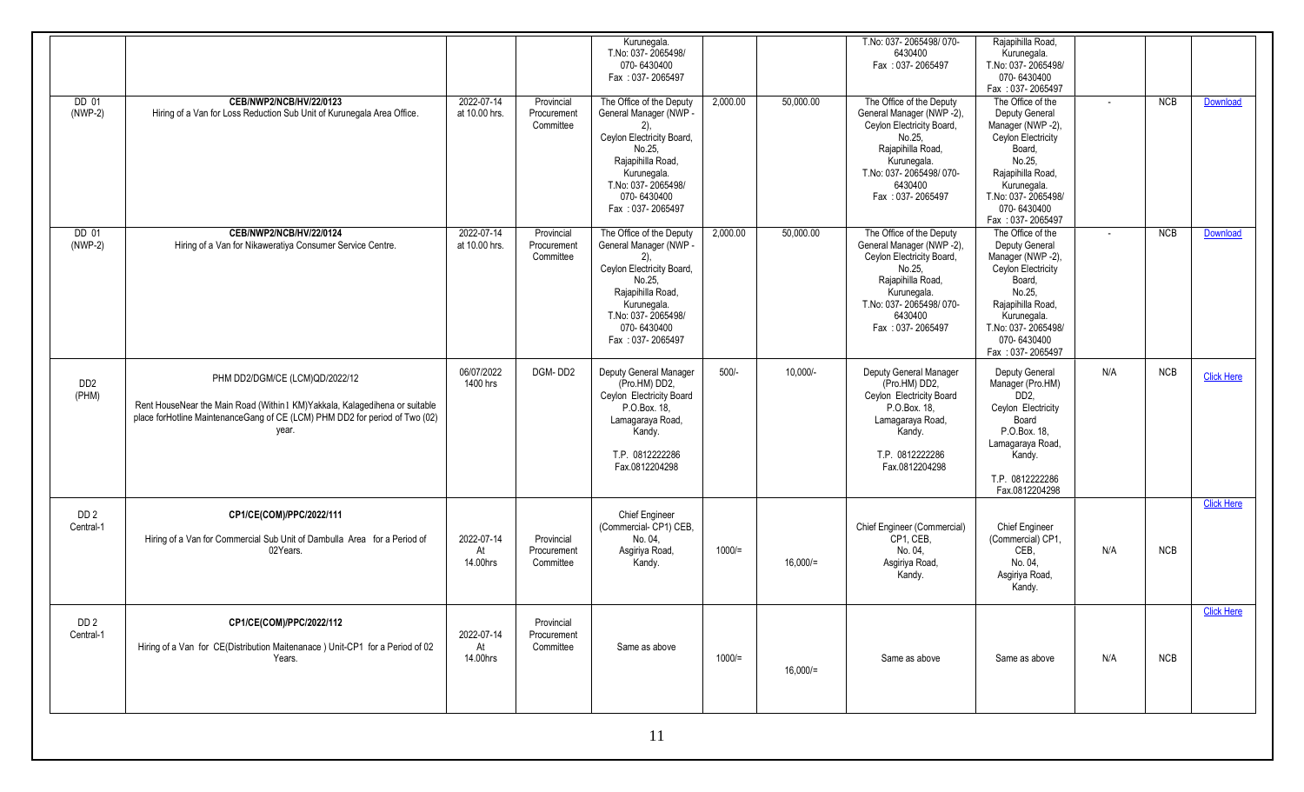|                                      |                                                                                                                                                                                                       |                              |                                        | Kurunegala.<br>T.No: 037-2065498/<br>070-6430400<br>Fax: 037-2065497                                                                                                                              |          |             | T.No: 037-2065498/070-<br>6430400<br>Fax: 037-2065497                                                                                                                                     | Raiapihilla Road.<br>Kurunegala.<br>T.No: 037-2065498/<br>070-6430400                                                                                                                                               |        |            |                   |
|--------------------------------------|-------------------------------------------------------------------------------------------------------------------------------------------------------------------------------------------------------|------------------------------|----------------------------------------|---------------------------------------------------------------------------------------------------------------------------------------------------------------------------------------------------|----------|-------------|-------------------------------------------------------------------------------------------------------------------------------------------------------------------------------------------|---------------------------------------------------------------------------------------------------------------------------------------------------------------------------------------------------------------------|--------|------------|-------------------|
| DD 01<br>$(NWP-2)$                   | CEB/NWP2/NCB/HV/22/0123<br>Hiring of a Van for Loss Reduction Sub Unit of Kurunegala Area Office.                                                                                                     | 2022-07-14<br>at 10.00 hrs.  | Provincial<br>Procurement<br>Committee | The Office of the Deputy<br>General Manager (NWP -<br>$(2)$ ,<br>Ceylon Electricity Board,<br>No.25.<br>Rajapihilla Road,<br>Kurunegala.<br>T.No: 037-2065498/<br>070-6430400<br>Fax: 037-2065497 | 2,000.00 | 50,000.00   | The Office of the Deputy<br>General Manager (NWP -2),<br>Ceylon Electricity Board,<br>No.25,<br>Rajapihilla Road,<br>Kurunegala.<br>T.No: 037-2065498/070-<br>6430400<br>Fax: 037-2065497 | Fax: 037-2065497<br>The Office of the<br>Deputy General<br>Manager (NWP -2),<br>Ceylon Electricity<br>Board,<br>No.25.<br>Rajapihilla Road,<br>Kurunegala.<br>T.No: 037-2065498/<br>070-6430400<br>Fax: 037-2065497 | $\sim$ | NCB        | Download          |
| DD 01<br>$(NWP-2)$                   | CEB/NWP2/NCB/HV/22/0124<br>Hiring of a Van for Nikaweratiya Consumer Service Centre.                                                                                                                  | 2022-07-14<br>at 10.00 hrs.  | Provincial<br>Procurement<br>Committee | The Office of the Deputy<br>General Manager (NWP -<br>$(2)$ .<br>Ceylon Electricity Board,<br>No.25.<br>Rajapihilla Road,<br>Kurunegala.<br>T.No: 037-2065498/<br>070-6430400<br>Fax: 037-2065497 | 2,000.00 | 50,000.00   | The Office of the Deputy<br>General Manager (NWP -2),<br>Ceylon Electricity Board,<br>No.25,<br>Rajapihilla Road,<br>Kurunegala.<br>T.No: 037-2065498/070-<br>6430400<br>Fax: 037-2065497 | The Office of the<br>Deputy General<br>Manager (NWP -2),<br>Ceylon Electricity<br>Board,<br>No.25.<br>Rajapihilla Road,<br>Kurunegala.<br>T.No: 037-2065498/<br>070-6430400<br>Fax: 037-2065497                     |        | NCB        | <b>Download</b>   |
| D <sub>D</sub> <sub>2</sub><br>(PHM) | PHM DD2/DGM/CE (LCM)QD/2022/12<br>Rent HouseNear the Main Road (Within 1 KM)Yakkala, Kalagedihena or suitable<br>place forHotline MaintenanceGang of CE (LCM) PHM DD2 for period of Two (02)<br>year. | 06/07/2022<br>1400 hrs       | DGM-DD2                                | Deputy General Manager<br>(Pro.HM) DD2,<br>Ceylon Electricity Board<br>P.O.Box. 18,<br>Lamagaraya Road,<br>Kandy.<br>T.P. 0812222286<br>Fax.0812204298                                            | $500/-$  | 10,000/-    | Deputy General Manager<br>(Pro.HM) DD2,<br>Ceylon Electricity Board<br>P.O.Box. 18,<br>Lamagaraya Road,<br>Kandy.<br>T.P. 0812222286<br>Fax.0812204298                                    | Deputy General<br>Manager (Pro.HM)<br>DD <sub>2</sub><br>Ceylon Electricity<br>Board<br>P.O.Box. 18,<br>Lamagaraya Road,<br>Kandy.<br>T.P. 0812222286<br>Fax.0812204298                                             | N/A    | NCB        | <b>Click Here</b> |
| DD <sub>2</sub><br>Central-1         | CP1/CE(COM)/PPC/2022/111<br>Hiring of a Van for Commercial Sub Unit of Dambulla Area for a Period of<br>02Years.                                                                                      | 2022-07-14<br>At<br>14.00hrs | Provincial<br>Procurement<br>Committee | Chief Engineer<br>(Commercial-CP1) CEB,<br>No. 04.<br>Asgiriya Road,<br>Kandy.                                                                                                                    | $1000 =$ | $16,000/$ = | Chief Engineer (Commercial)<br>CP1, CEB,<br>No. 04,<br>Asgiriya Road,<br>Kandy.                                                                                                           | <b>Chief Engineer</b><br>(Commercial) CP1,<br>CEB,<br>No. 04,<br>Asgiriya Road,<br>Kandy.                                                                                                                           | N/A    | <b>NCB</b> | <b>Click Here</b> |
| DD <sub>2</sub><br>Central-1         | CP1/CE(COM)/PPC/2022/112<br>Hiring of a Van for CE(Distribution Maitenanace) Unit-CP1 for a Period of 02<br>Years.                                                                                    | 2022-07-14<br>At<br>14.00hrs | Provincial<br>Procurement<br>Committee | Same as above                                                                                                                                                                                     | $1000 =$ | 16,000/     | Same as above                                                                                                                                                                             | Same as above                                                                                                                                                                                                       | N/A    | <b>NCB</b> | <b>Click Here</b> |
|                                      |                                                                                                                                                                                                       |                              |                                        | 11                                                                                                                                                                                                |          |             |                                                                                                                                                                                           |                                                                                                                                                                                                                     |        |            |                   |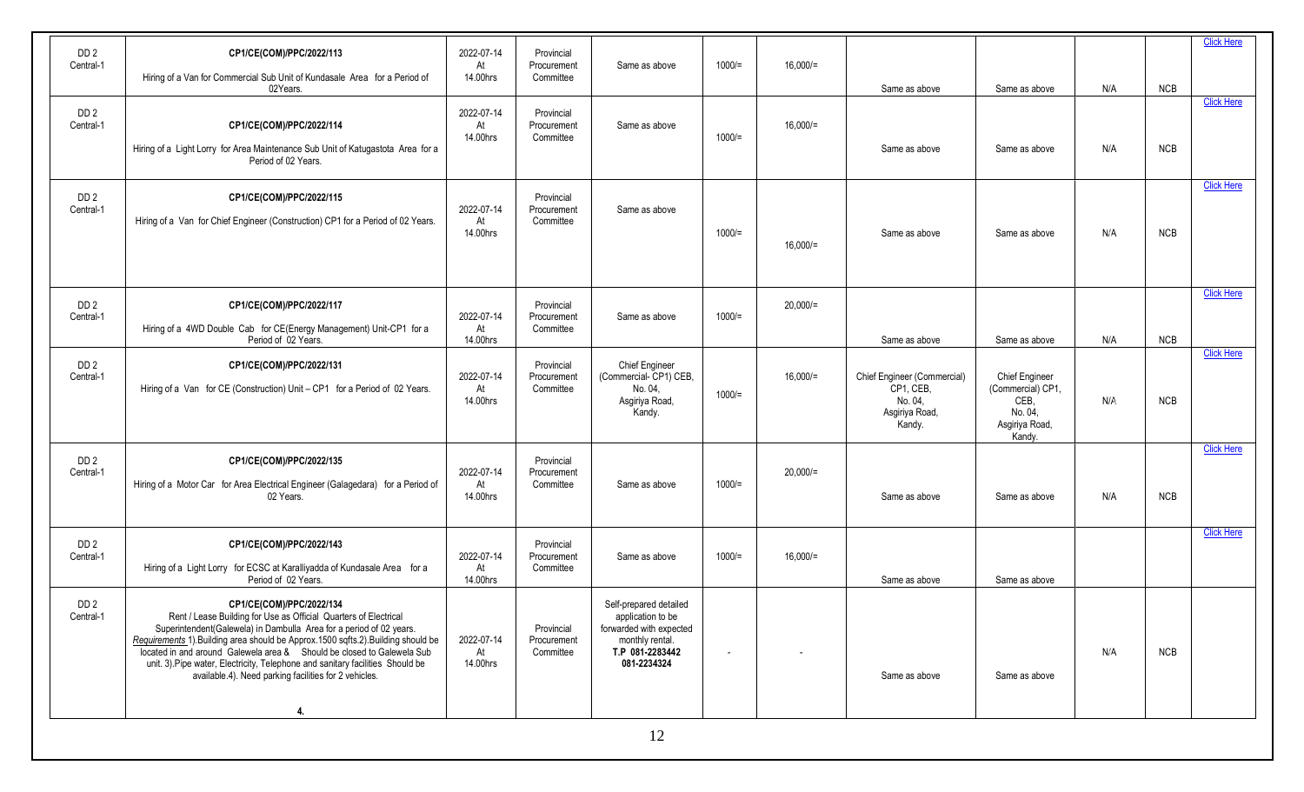| DD <sub>2</sub>              | CP1/CE(COM)/PPC/2022/113                                                                                                                                    | 2022-07-14       | Provincial                |                                                |                |             |                             |                           |     |            | <b>Click Here</b> |
|------------------------------|-------------------------------------------------------------------------------------------------------------------------------------------------------------|------------------|---------------------------|------------------------------------------------|----------------|-------------|-----------------------------|---------------------------|-----|------------|-------------------|
| Central-1                    | Hiring of a Van for Commercial Sub Unit of Kundasale Area for a Period of                                                                                   | At<br>14.00hrs   | Procurement<br>Committee  | Same as above                                  | $1000 =$       | $16,000/$ = |                             |                           |     |            |                   |
|                              | 02Years.                                                                                                                                                    |                  |                           |                                                |                |             | Same as above               | Same as above             | N/A | NCB        |                   |
| DD <sub>2</sub>              |                                                                                                                                                             | 2022-07-14       | Provincial                |                                                |                |             |                             |                           |     |            | <b>Click Here</b> |
| Central-1                    | CP1/CE(COM)/PPC/2022/114                                                                                                                                    | At<br>14.00hrs   | Procurement<br>Committee  | Same as above                                  | $1000 =$       | $16,000/$ = |                             |                           |     |            |                   |
|                              | Hiring of a Light Lorry for Area Maintenance Sub Unit of Katugastota Area for a<br>Period of 02 Years.                                                      |                  |                           |                                                |                |             | Same as above               | Same as above             | N/A | <b>NCB</b> |                   |
| DD <sub>2</sub>              | CP1/CE(COM)/PPC/2022/115                                                                                                                                    |                  | Provincial                |                                                |                |             |                             |                           |     |            | <b>Click Here</b> |
| Central-1                    | Hiring of a Van for Chief Engineer (Construction) CP1 for a Period of 02 Years.                                                                             | 2022-07-14<br>At | Procurement<br>Committee  | Same as above                                  |                |             |                             |                           |     |            |                   |
|                              |                                                                                                                                                             | 14.00hrs         |                           |                                                | $1000 =$       | $16,000 =$  | Same as above               | Same as above             | N/A | <b>NCB</b> |                   |
|                              |                                                                                                                                                             |                  |                           |                                                |                |             |                             |                           |     |            |                   |
|                              |                                                                                                                                                             |                  |                           |                                                |                |             |                             |                           |     |            | <b>Click Here</b> |
| DD <sub>2</sub><br>Central-1 | CP1/CE(COM)/PPC/2022/117                                                                                                                                    | 2022-07-14       | Provincial<br>Procurement | Same as above                                  | $1000 =$       | $20,000/$ = |                             |                           |     |            |                   |
|                              | Hiring of a 4WD Double Cab for CE(Energy Management) Unit-CP1 for a                                                                                         | At               | Committee                 |                                                |                |             | Same as above               |                           | N/A | <b>NCB</b> |                   |
|                              | Period of 02 Years.                                                                                                                                         | 14.00hrs         |                           |                                                |                |             |                             | Same as above             |     |            | <b>Click Here</b> |
| DD <sub>2</sub><br>Central-1 | CP1/CE(COM)/PPC/2022/131                                                                                                                                    | 2022-07-14       | Provincial<br>Procurement | <b>Chief Engineer</b><br>(Commercial-CP1) CEB, |                | $16,000 =$  | Chief Engineer (Commercial) | <b>Chief Engineer</b>     |     |            |                   |
|                              | Hiring of a Van for CE (Construction) Unit - CP1 for a Period of 02 Years.                                                                                  | At<br>14.00hrs   | Committee                 | No. 04.<br>Asgiriya Road,                      | $1000 =$       |             | CP1, CEB,<br>No. 04.        | (Commercial) CP1,<br>CEB. | N/A | <b>NCB</b> |                   |
|                              |                                                                                                                                                             |                  |                           | Kandy.                                         |                |             | Asgiriya Road,<br>Kandy.    | No. 04,<br>Asgiriya Road, |     |            |                   |
|                              |                                                                                                                                                             |                  |                           |                                                |                |             |                             | Kandy.                    |     |            | <b>Click Here</b> |
| DD 2<br>Central-1            | CP1/CE(COM)/PPC/2022/135                                                                                                                                    | 2022-07-14       | Provincial<br>Procurement |                                                |                | $20,000/$ = |                             |                           |     |            |                   |
|                              | Hiring of a Motor Car for Area Electrical Engineer (Galagedara) for a Period of<br>02 Years.                                                                | At<br>14.00hrs   | Committee                 | Same as above                                  | $1000 =$       |             | Same as above               | Same as above             | N/A | NCB        |                   |
|                              |                                                                                                                                                             |                  |                           |                                                |                |             |                             |                           |     |            |                   |
|                              |                                                                                                                                                             |                  | Provincial                |                                                |                |             |                             |                           |     |            | <b>Click Here</b> |
| DD <sub>2</sub><br>Central-1 | CP1/CE(COM)/PPC/2022/143                                                                                                                                    | 2022-07-14       | Procurement               | Same as above                                  | $1000 =$       | $16,000/=$  |                             |                           |     |            |                   |
|                              | Hiring of a Light Lorry for ECSC at Karalliyadda of Kundasale Area for a<br>Period of 02 Years.                                                             | At<br>14.00hrs   | Committee                 |                                                |                |             | Same as above               | Same as above             |     |            |                   |
| DD <sub>2</sub>              | CP1/CE(COM)/PPC/2022/134                                                                                                                                    |                  |                           | Self-prepared detailed                         |                |             |                             |                           |     |            |                   |
| Central-1                    | Rent / Lease Building for Use as Official Quarters of Electrical<br>Superintendent(Galewela) in Dambulla Area for a period of 02 years.                     |                  | Provincial                | application to be<br>forwarded with expected   |                |             |                             |                           |     |            |                   |
|                              | Requirements 1). Building area should be Approx 1500 sqfts 2). Building should be<br>located in and around Galewela area & Should be closed to Galewela Sub | 2022-07-14<br>At | Procurement<br>Committee  | monthly rental.<br>T.P 081-2283442             | $\overline{a}$ |             |                             |                           | N/A | <b>NCB</b> |                   |
|                              | unit. 3). Pipe water, Electricity, Telephone and sanitary facilities Should be<br>available 4). Need parking facilities for 2 vehicles.                     | 14.00hrs         |                           | 081-2234324                                    |                |             | Same as above               | Same as above             |     |            |                   |
|                              |                                                                                                                                                             |                  |                           |                                                |                |             |                             |                           |     |            |                   |
|                              | 4.                                                                                                                                                          |                  |                           |                                                |                |             |                             |                           |     |            |                   |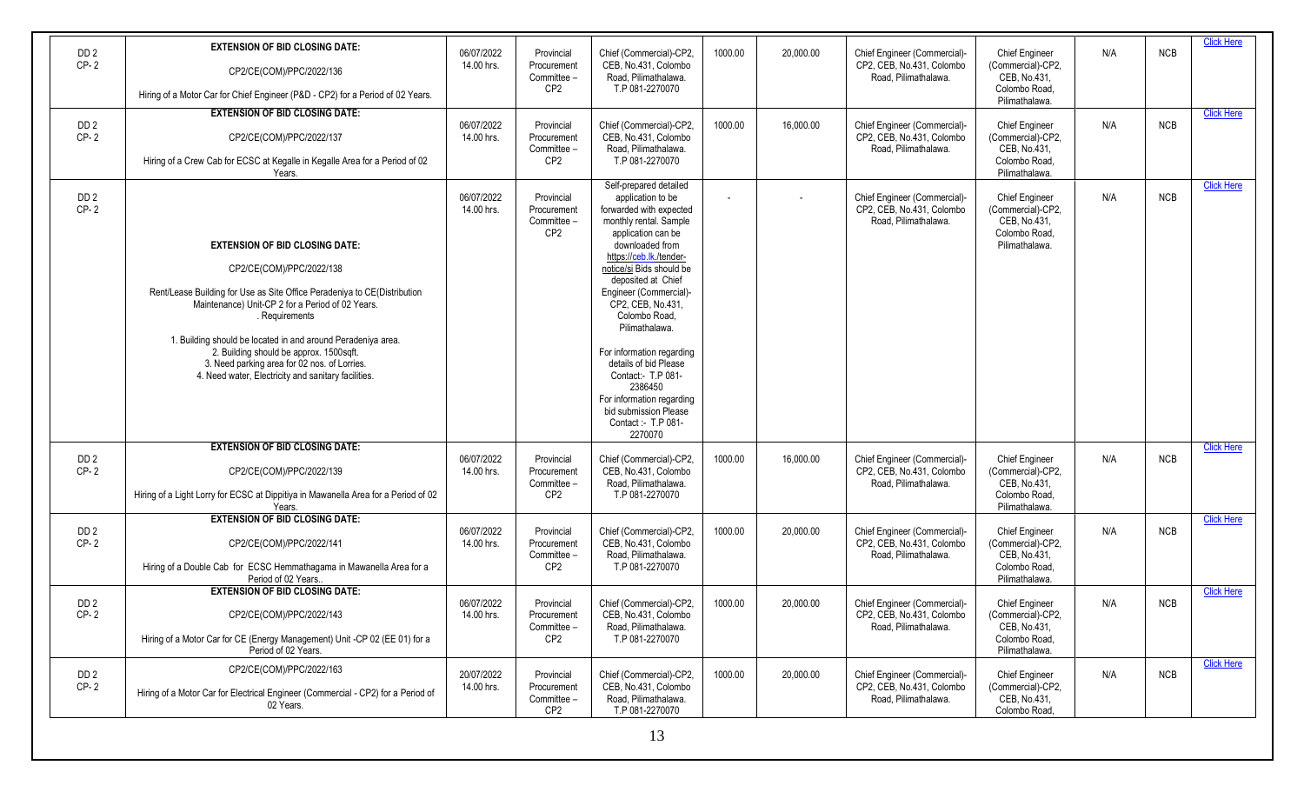| DD <sub>2</sub><br>$CP-2$ | <b>EXTENSION OF BID CLOSING DATE:</b><br>CP2/CE(COM)/PPC/2022/136<br>Hiring of a Motor Car for Chief Engineer (P&D - CP2) for a Period of 02 Years.                                                                                                                                                                                                                                                                                   | 06/07/2022<br>14.00 hrs. | Provincial<br>Procurement<br>Committee -<br>CP <sub>2</sub> | Chief (Commercial)-CP2,<br>CEB. No.431. Colombo<br>Road, Pilimathalawa.<br>T.P 081-2270070                                                                                                                                                                                                                                                                                                                                                                                             | 1000.00 | 20,000.00 | Chief Engineer (Commercial)-<br>CP2, CEB, No.431, Colombo<br>Road. Pilimathalawa. | <b>Chief Engineer</b><br>(Commercial)-CP2,<br>CEB, No.431,<br>Colombo Road.<br>Pilimathalawa. | N/A | <b>NCB</b> | <b>Click Here</b> |
|---------------------------|---------------------------------------------------------------------------------------------------------------------------------------------------------------------------------------------------------------------------------------------------------------------------------------------------------------------------------------------------------------------------------------------------------------------------------------|--------------------------|-------------------------------------------------------------|----------------------------------------------------------------------------------------------------------------------------------------------------------------------------------------------------------------------------------------------------------------------------------------------------------------------------------------------------------------------------------------------------------------------------------------------------------------------------------------|---------|-----------|-----------------------------------------------------------------------------------|-----------------------------------------------------------------------------------------------|-----|------------|-------------------|
| DD <sub>2</sub><br>$CP-2$ | <b>EXTENSION OF BID CLOSING DATE:</b><br>CP2/CE(COM)/PPC/2022/137<br>Hiring of a Crew Cab for ECSC at Kegalle in Kegalle Area for a Period of 02<br>Years.                                                                                                                                                                                                                                                                            | 06/07/2022<br>14.00 hrs. | Provincial<br>Procurement<br>Committee -<br>CP <sub>2</sub> | Chief (Commercial)-CP2,<br>CEB. No.431. Colombo<br>Road, Pilimathalawa.<br>T.P 081-2270070                                                                                                                                                                                                                                                                                                                                                                                             | 1000.00 | 16,000.00 | Chief Engineer (Commercial)-<br>CP2, CEB, No.431, Colombo<br>Road. Pilimathalawa. | <b>Chief Engineer</b><br>(Commercial)-CP2,<br>CEB, No.431,<br>Colombo Road,<br>Pilimathalawa. | N/A | <b>NCB</b> | <b>Click Here</b> |
| DD <sub>2</sub><br>$CP-2$ | <b>EXTENSION OF BID CLOSING DATE:</b><br>CP2/CE(COM)/PPC/2022/138<br>Rent/Lease Building for Use as Site Office Peradeniya to CE(Distribution<br>Maintenance) Unit-CP 2 for a Period of 02 Years.<br>. Requirements<br>1. Building should be located in and around Peradeniya area.<br>2. Building should be approx. 1500sqft.<br>3. Need parking area for 02 nos. of Lorries.<br>4. Need water, Electricity and sanitary facilities. | 06/07/2022<br>14.00 hrs. | Provincial<br>Procurement<br>Committee -<br>CP <sub>2</sub> | Self-prepared detailed<br>application to be<br>forwarded with expected<br>monthly rental. Sample<br>application can be<br>downloaded from<br>https://ceb.lk/tender-<br>notice/si Bids should be<br>deposited at Chief<br>Engineer (Commercial)-<br>CP2, CEB, No.431,<br>Colombo Road.<br>Pilimathalawa.<br>For information regarding<br>details of bid Please<br>Contact:- T.P 081-<br>2386450<br>For information regarding<br>bid submission Please<br>Contact :- T.P 081-<br>2270070 |         |           | Chief Engineer (Commercial)-<br>CP2, CEB, No.431, Colombo<br>Road. Pilimathalawa. | <b>Chief Engineer</b><br>(Commercial)-CP2,<br>CEB, No.431,<br>Colombo Road.<br>Pilimathalawa. | N/A | <b>NCB</b> | <b>Click Here</b> |
| DD <sub>2</sub><br>$CP-2$ | <b>EXTENSION OF BID CLOSING DATE:</b><br>CP2/CE(COM)/PPC/2022/139<br>Hiring of a Light Lorry for ECSC at Dippitiya in Mawanella Area for a Period of 02<br>Years.                                                                                                                                                                                                                                                                     | 06/07/2022<br>14.00 hrs. | Provincial<br>Procurement<br>Committee -<br>CP <sub>2</sub> | Chief (Commercial)-CP2,<br>CEB, No.431, Colombo<br>Road, Pilimathalawa.<br>T.P 081-2270070                                                                                                                                                                                                                                                                                                                                                                                             | 1000.00 | 16,000.00 | Chief Engineer (Commercial)-<br>CP2, CEB, No.431, Colombo<br>Road, Pilimathalawa. | <b>Chief Engineer</b><br>(Commercial)-CP2,<br>CEB, No.431,<br>Colombo Road.<br>Pilimathalawa. | N/A | <b>NCB</b> | <b>Click Here</b> |
| DD <sub>2</sub><br>$CP-2$ | <b>EXTENSION OF BID CLOSING DATE:</b><br>CP2/CE(COM)/PPC/2022/141<br>Hiring of a Double Cab for ECSC Hemmathagama in Mawanella Area for a<br>Period of 02 Years.                                                                                                                                                                                                                                                                      | 06/07/2022<br>14.00 hrs. | Provincial<br>Procurement<br>Committee -<br>CP <sub>2</sub> | Chief (Commercial)-CP2,<br>CEB. No.431. Colombo<br>Road, Pilimathalawa.<br>T.P 081-2270070                                                                                                                                                                                                                                                                                                                                                                                             | 1000.00 | 20,000.00 | Chief Engineer (Commercial)-<br>CP2, CEB, No.431, Colombo<br>Road. Pilimathalawa. | <b>Chief Engineer</b><br>(Commercial)-CP2,<br>CEB, No.431,<br>Colombo Road.<br>Pilimathalawa. | N/A | <b>NCB</b> | <b>Click Here</b> |
| DD <sub>2</sub><br>CP-2   | <b>EXTENSION OF BID CLOSING DATE:</b><br>CP2/CE(COM)/PPC/2022/143<br>Hiring of a Motor Car for CE (Energy Management) Unit -CP 02 (EE 01) for a<br>Period of 02 Years.                                                                                                                                                                                                                                                                | 06/07/2022<br>14.00 hrs. | Provincial<br>Procurement<br>Committee -<br>CP <sub>2</sub> | Chief (Commercial)-CP2,<br>CEB, No.431, Colombo<br>Road, Pilimathalawa.<br>T.P 081-2270070                                                                                                                                                                                                                                                                                                                                                                                             | 1000.00 | 20,000.00 | Chief Engineer (Commercial)-<br>CP2, CEB, No.431, Colombo<br>Road, Pilimathalawa. | Chief Engineer<br>(Commercial)-CP2,<br>CEB, No.431,<br>Colombo Road,<br>Pilimathalawa.        | N/A | <b>NCB</b> | <b>Click Here</b> |
| DD <sub>2</sub><br>$CP-2$ | CP2/CE(COM)/PPC/2022/163<br>Hiring of a Motor Car for Electrical Engineer (Commercial - CP2) for a Period of<br>02 Years.                                                                                                                                                                                                                                                                                                             | 20/07/2022<br>14.00 hrs. | Provincial<br>Procurement<br>Committee -<br>CP <sub>2</sub> | Chief (Commercial)-CP2,<br>CEB, No.431, Colombo<br>Road, Pilimathalawa.<br>T.P 081-2270070                                                                                                                                                                                                                                                                                                                                                                                             | 1000.00 | 20,000.00 | Chief Engineer (Commercial)-<br>CP2, CEB, No.431, Colombo<br>Road, Pilimathalawa. | <b>Chief Engineer</b><br>(Commercial)-CP2,<br>CEB, No.431,<br>Colombo Road,                   | N/A | <b>NCB</b> | <b>Click Here</b> |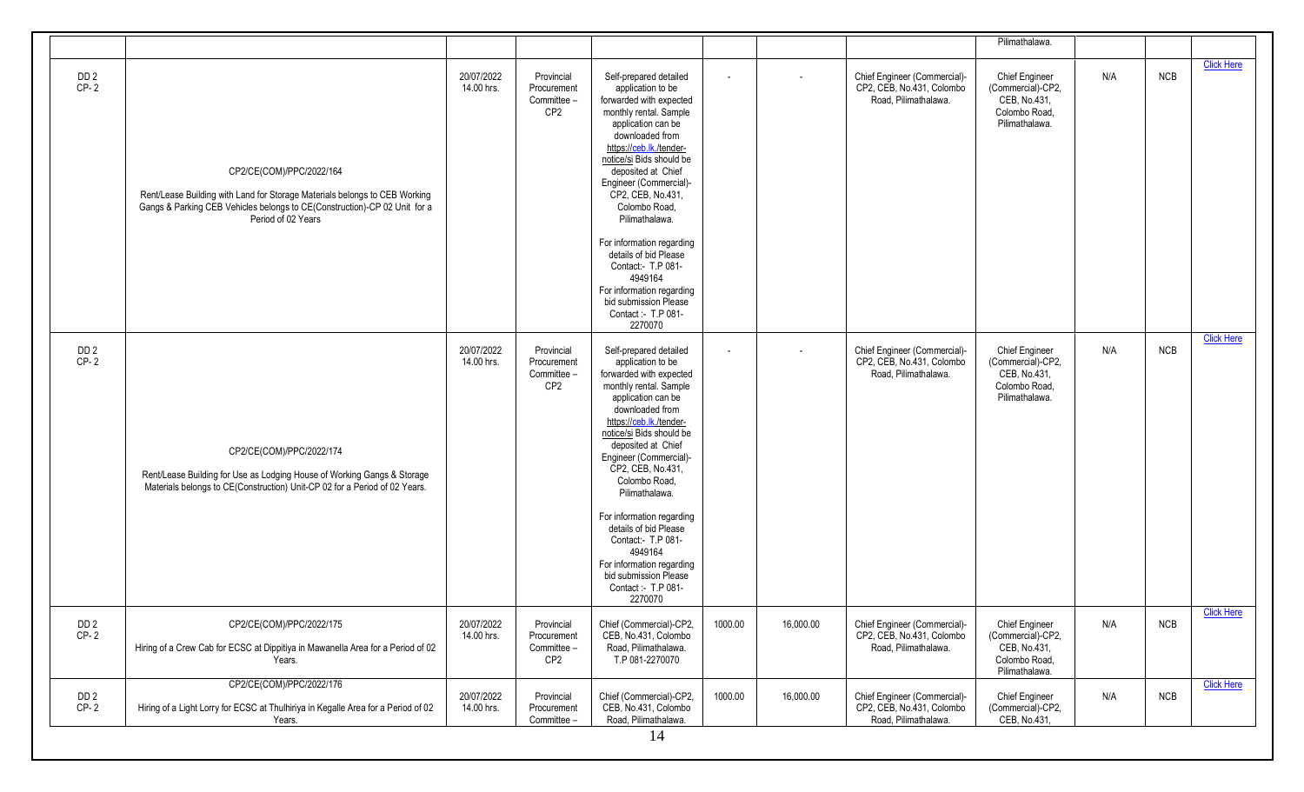|                           |                                                                                                                                                                                                           |                          |                                                             |                                                                                                                                                                                                                                                                                                                                                                                                                                                                                        |                          |           |                                                                                   | Pilimathalawa.                                                                                |     |     |                   |
|---------------------------|-----------------------------------------------------------------------------------------------------------------------------------------------------------------------------------------------------------|--------------------------|-------------------------------------------------------------|----------------------------------------------------------------------------------------------------------------------------------------------------------------------------------------------------------------------------------------------------------------------------------------------------------------------------------------------------------------------------------------------------------------------------------------------------------------------------------------|--------------------------|-----------|-----------------------------------------------------------------------------------|-----------------------------------------------------------------------------------------------|-----|-----|-------------------|
| DD <sub>2</sub><br>$CP-2$ | CP2/CE(COM)/PPC/2022/164<br>Rent/Lease Building with Land for Storage Materials belongs to CEB Working<br>Gangs & Parking CEB Vehicles belongs to CE(Construction)-CP 02 Unit for a<br>Period of 02 Years | 20/07/2022<br>14.00 hrs. | Provincial<br>Procurement<br>Committee -<br>CP2             | Self-prepared detailed<br>application to be<br>forwarded with expected<br>monthly rental. Sample<br>application can be<br>downloaded from<br>https://ceb.lk/tender-<br>notice/si Bids should be<br>deposited at Chief<br>Engineer (Commercial)-<br>CP2, CEB, No.431,<br>Colombo Road,<br>Pilimathalawa.<br>For information regarding<br>details of bid Please<br>Contact:- T.P 081-<br>4949164<br>For information regarding<br>bid submission Please<br>Contact: - T.P 081-<br>2270070 | $\blacksquare$           | $\sim$    | Chief Engineer (Commercial)-<br>CP2, CEB, No.431, Colombo<br>Road. Pilimathalawa. | Chief Engineer<br>(Commercial)-CP2,<br>CEB. No.431.<br>Colombo Road,<br>Pilimathalawa.        | N/A | NCB | <b>Click Here</b> |
| DD <sub>2</sub><br>$CP-2$ | CP2/CE(COM)/PPC/2022/174<br>Rent/Lease Building for Use as Lodging House of Working Gangs & Storage<br>Materials belongs to CE(Construction) Unit-CP 02 for a Period of 02 Years.                         | 20/07/2022<br>14.00 hrs. | Provincial<br>Procurement<br>Committee -<br>CP <sub>2</sub> | Self-prepared detailed<br>application to be<br>forwarded with expected<br>monthly rental. Sample<br>application can be<br>downloaded from<br>https://ceb.lk/tender-<br>notice/si Bids should be<br>deposited at Chief<br>Engineer (Commercial)-<br>CP2, CEB, No.431,<br>Colombo Road,<br>Pilimathalawa.<br>For information regarding<br>details of bid Please<br>Contact:- T.P 081-<br>4949164<br>For information regarding<br>bid submission Please<br>Contact :- T.P 081-<br>2270070 | $\overline{\phantom{0}}$ |           | Chief Engineer (Commercial)-<br>CP2, CEB, No.431, Colombo<br>Road, Pilimathalawa. | <b>Chief Engineer</b><br>(Commercial)-CP2,<br>CEB, No.431,<br>Colombo Road,<br>Pilimathalawa. | N/A | NCB | <b>Click Here</b> |
| DD <sub>2</sub><br>$CP-2$ | CP2/CE(COM)/PPC/2022/175<br>Hiring of a Crew Cab for ECSC at Dippitiya in Mawanella Area for a Period of 02<br>Years.                                                                                     | 20/07/2022<br>14.00 hrs. | Provincial<br>Procurement<br>Committee -<br>CP <sub>2</sub> | Chief (Commercial)-CP2,<br>CEB, No.431, Colombo<br>Road, Pilimathalawa.<br>T.P 081-2270070                                                                                                                                                                                                                                                                                                                                                                                             | 1000.00                  | 16,000.00 | Chief Engineer (Commercial)-<br>CP2, CEB, No.431, Colombo<br>Road, Pilimathalawa. | Chief Engineer<br>(Commercial)-CP2,<br>CEB, No.431,<br>Colombo Road,<br>Pilimathalawa.        | N/A | NCB | <b>Click Here</b> |
| DD <sub>2</sub><br>$CP-2$ | CP2/CE(COM)/PPC/2022/176<br>Hiring of a Light Lorry for ECSC at Thulhiriya in Kegalle Area for a Period of 02<br>Years.                                                                                   | 20/07/2022<br>14.00 hrs. | Provincial<br>Procurement<br>Committee -                    | Chief (Commercial)-CP2,<br>CEB, No.431, Colombo<br>Road, Pilimathalawa.<br>14                                                                                                                                                                                                                                                                                                                                                                                                          | 1000.00                  | 16,000.00 | Chief Engineer (Commercial)-<br>CP2, CEB, No.431, Colombo<br>Road, Pilimathalawa. | Chief Engineer<br>(Commercial)-CP2,<br>CEB, No.431,                                           | N/A | NCB | <b>Click Here</b> |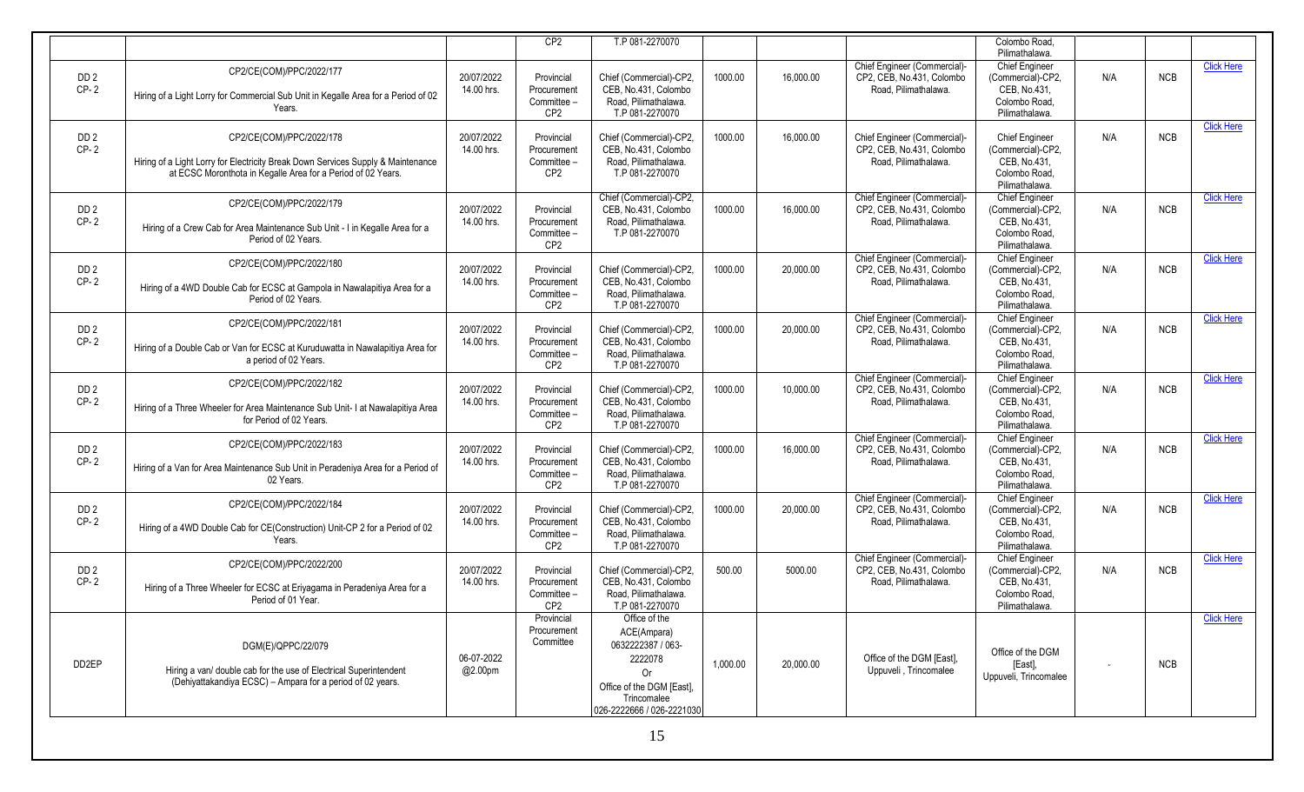|                           |                                                                                                                                                                              |                          | CP2                                                         | T.P 081-2270070                                                                                                                             |          |           |                                                                                   | Colombo Road.<br>Pilimathalawa.                                                               |     |            |                   |
|---------------------------|------------------------------------------------------------------------------------------------------------------------------------------------------------------------------|--------------------------|-------------------------------------------------------------|---------------------------------------------------------------------------------------------------------------------------------------------|----------|-----------|-----------------------------------------------------------------------------------|-----------------------------------------------------------------------------------------------|-----|------------|-------------------|
| DD <sub>2</sub><br>$CP-2$ | CP2/CE(COM)/PPC/2022/177<br>Hiring of a Light Lorry for Commercial Sub Unit in Kegalle Area for a Period of 02<br>Years.                                                     | 20/07/2022<br>14.00 hrs. | Provincial<br>Procurement<br>Committee -<br>CP <sub>2</sub> | Chief (Commercial)-CP2,<br>CEB. No.431. Colombo<br>Road. Pilimathalawa.<br>T.P 081-2270070                                                  | 1000.00  | 16,000.00 | Chief Engineer (Commercial)-<br>CP2, CEB, No.431, Colombo<br>Road. Pilimathalawa. | <b>Chief Engineer</b><br>(Commercial)-CP2,<br>CEB, No.431.<br>Colombo Road.<br>Pilimathalawa. | N/A | <b>NCB</b> | <b>Click Here</b> |
| DD <sub>2</sub><br>$CP-2$ | CP2/CE(COM)/PPC/2022/178<br>Hiring of a Light Lorry for Electricity Break Down Services Supply & Maintenance<br>at ECSC Moronthota in Kegalle Area for a Period of 02 Years. | 20/07/2022<br>14.00 hrs. | Provincial<br>Procurement<br>Committee -<br>CP <sub>2</sub> | Chief (Commercial)-CP2,<br>CEB, No.431, Colombo<br>Road, Pilimathalawa.<br>T.P 081-2270070                                                  | 1000.00  | 16.000.00 | Chief Engineer (Commercial)-<br>CP2, CEB, No.431, Colombo<br>Road. Pilimathalawa. | <b>Chief Engineer</b><br>(Commercial)-CP2,<br>CEB. No.431.<br>Colombo Road.<br>Pilimathalawa. | N/A | <b>NCB</b> | <b>Click Here</b> |
| DD <sub>2</sub><br>$CP-2$ | CP2/CE(COM)/PPC/2022/179<br>Hiring of a Crew Cab for Area Maintenance Sub Unit - I in Kegalle Area for a<br>Period of 02 Years.                                              | 20/07/2022<br>14.00 hrs. | Provincial<br>Procurement<br>Committee -<br>CP <sub>2</sub> | Chief (Commercial)-CP2,<br>CEB, No.431, Colombo<br>Road, Pilimathalawa.<br>T.P 081-2270070                                                  | 1000.00  | 16,000.00 | Chief Engineer (Commercial)-<br>CP2, CEB, No.431, Colombo<br>Road, Pilimathalawa. | <b>Chief Engineer</b><br>(Commercial)-CP2,<br>CEB. No.431.<br>Colombo Road.<br>Pilimathalawa. | N/A | <b>NCB</b> | <b>Click Here</b> |
| DD <sub>2</sub><br>$CP-2$ | CP2/CE(COM)/PPC/2022/180<br>Hiring of a 4WD Double Cab for ECSC at Gampola in Nawalapitiya Area for a<br>Period of 02 Years.                                                 | 20/07/2022<br>14.00 hrs. | Provincial<br>Procurement<br>Committee -<br>CP <sub>2</sub> | Chief (Commercial)-CP2,<br>CEB, No.431, Colombo<br>Road, Pilimathalawa.<br>T.P 081-2270070                                                  | 1000.00  | 20,000.00 | Chief Engineer (Commercial)-<br>CP2, CEB, No.431, Colombo<br>Road. Pilimathalawa. | <b>Chief Engineer</b><br>(Commercial)-CP2,<br>CEB, No.431,<br>Colombo Road.<br>Pilimathalawa. | N/A | <b>NCB</b> | <b>Click Here</b> |
| DD <sub>2</sub><br>$CP-2$ | CP2/CE(COM)/PPC/2022/181<br>Hiring of a Double Cab or Van for ECSC at Kuruduwatta in Nawalapitiya Area for<br>a period of 02 Years.                                          | 20/07/2022<br>14.00 hrs. | Provincial<br>Procurement<br>Committee -<br>CP <sub>2</sub> | Chief (Commercial)-CP2,<br>CEB, No.431, Colombo<br>Road, Pilimathalawa.<br>T.P 081-2270070                                                  | 1000.00  | 20,000.00 | Chief Engineer (Commercial)-<br>CP2, CEB, No.431, Colombo<br>Road, Pilimathalawa. | <b>Chief Engineer</b><br>(Commercial)-CP2,<br>CEB. No.431.<br>Colombo Road.<br>Pilimathalawa. | N/A | <b>NCB</b> | <b>Click Here</b> |
| DD <sub>2</sub><br>$CP-2$ | CP2/CE(COM)/PPC/2022/182<br>Hiring of a Three Wheeler for Area Maintenance Sub Unit- I at Nawalapitiya Area<br>for Period of 02 Years.                                       | 20/07/2022<br>14.00 hrs. | Provincial<br>Procurement<br>Committee -<br>CP <sub>2</sub> | Chief (Commercial)-CP2,<br>CEB, No.431, Colombo<br>Road, Pilimathalawa.<br>T.P 081-2270070                                                  | 1000.00  | 10,000.00 | Chief Engineer (Commercial)-<br>CP2, CEB, No.431, Colombo<br>Road, Pilimathalawa. | Chief Engineer<br>(Commercial)-CP2.<br>CEB. No.431.<br>Colombo Road.<br>Pilimathalawa.        | N/A | <b>NCB</b> | <b>Click Here</b> |
| DD <sub>2</sub><br>$CP-2$ | CP2/CE(COM)/PPC/2022/183<br>Hiring of a Van for Area Maintenance Sub Unit in Peradeniya Area for a Period of<br>02 Years.                                                    | 20/07/2022<br>14.00 hrs. | Provincial<br>Procurement<br>Committee -<br>CP <sub>2</sub> | Chief (Commercial)-CP2,<br>CEB, No.431, Colombo<br>Road, Pilimathalawa.<br>T.P 081-2270070                                                  | 1000.00  | 16,000.00 | Chief Engineer (Commercial)-<br>CP2, CEB, No.431, Colombo<br>Road, Pilimathalawa. | <b>Chief Engineer</b><br>(Commercial)-CP2,<br>CEB, No.431,<br>Colombo Road.<br>Pilimathalawa. | N/A | <b>NCB</b> | <b>Click Here</b> |
| DD <sub>2</sub><br>$CP-2$ | CP2/CE(COM)/PPC/2022/184<br>Hiring of a 4WD Double Cab for CE(Construction) Unit-CP 2 for a Period of 02<br>Years.                                                           | 20/07/2022<br>14.00 hrs. | Provincial<br>Procurement<br>Committee -<br>CP <sub>2</sub> | Chief (Commercial)-CP2,<br>CEB, No.431, Colombo<br>Road. Pilimathalawa.<br>T.P 081-2270070                                                  | 1000.00  | 20,000.00 | Chief Engineer (Commercial)-<br>CP2, CEB, No.431, Colombo<br>Road. Pilimathalawa. | <b>Chief Engineer</b><br>(Commercial)-CP2.<br>CEB, No.431,<br>Colombo Road.<br>Pilimathalawa. | N/A | <b>NCB</b> | <b>Click Here</b> |
| DD <sub>2</sub><br>$CP-2$ | CP2/CE(COM)/PPC/2022/200<br>Hiring of a Three Wheeler for ECSC at Eriyagama in Peradeniya Area for a<br>Period of 01 Year.                                                   | 20/07/2022<br>14.00 hrs. | Provincial<br>Procurement<br>Committee -<br>CP <sub>2</sub> | Chief (Commercial)-CP2,<br>CEB, No.431, Colombo<br>Road, Pilimathalawa.<br>T.P 081-2270070                                                  | 500.00   | 5000.00   | Chief Engineer (Commercial)-<br>CP2, CEB, No.431, Colombo<br>Road, Pilimathalawa. | <b>Chief Engineer</b><br>(Commercial)-CP2,<br>CEB, No.431,<br>Colombo Road.<br>Pilimathalawa. | N/A | <b>NCB</b> | <b>Click Here</b> |
| DD <sub>2EP</sub>         | DGM(E)/QPPC/22/079<br>Hiring a van/ double cab for the use of Electrical Superintendent<br>(Dehiyattakandiya ECSC) - Ampara for a period of 02 years.                        | 06-07-2022<br>@2.00pm    | Provincial<br>Procurement<br>Committee                      | Office of the<br>ACE(Ampara)<br>0632222387 / 063-<br>2222078<br>0r<br>Office of the DGM [East],<br>Trincomalee<br>026-2222666 / 026-2221030 | 1.000.00 | 20,000.00 | Office of the DGM [East]<br>Uppuveli, Trincomalee                                 | Office of the DGM<br>[East],<br>Uppuveli, Trincomalee                                         |     | <b>NCB</b> | <b>Click Here</b> |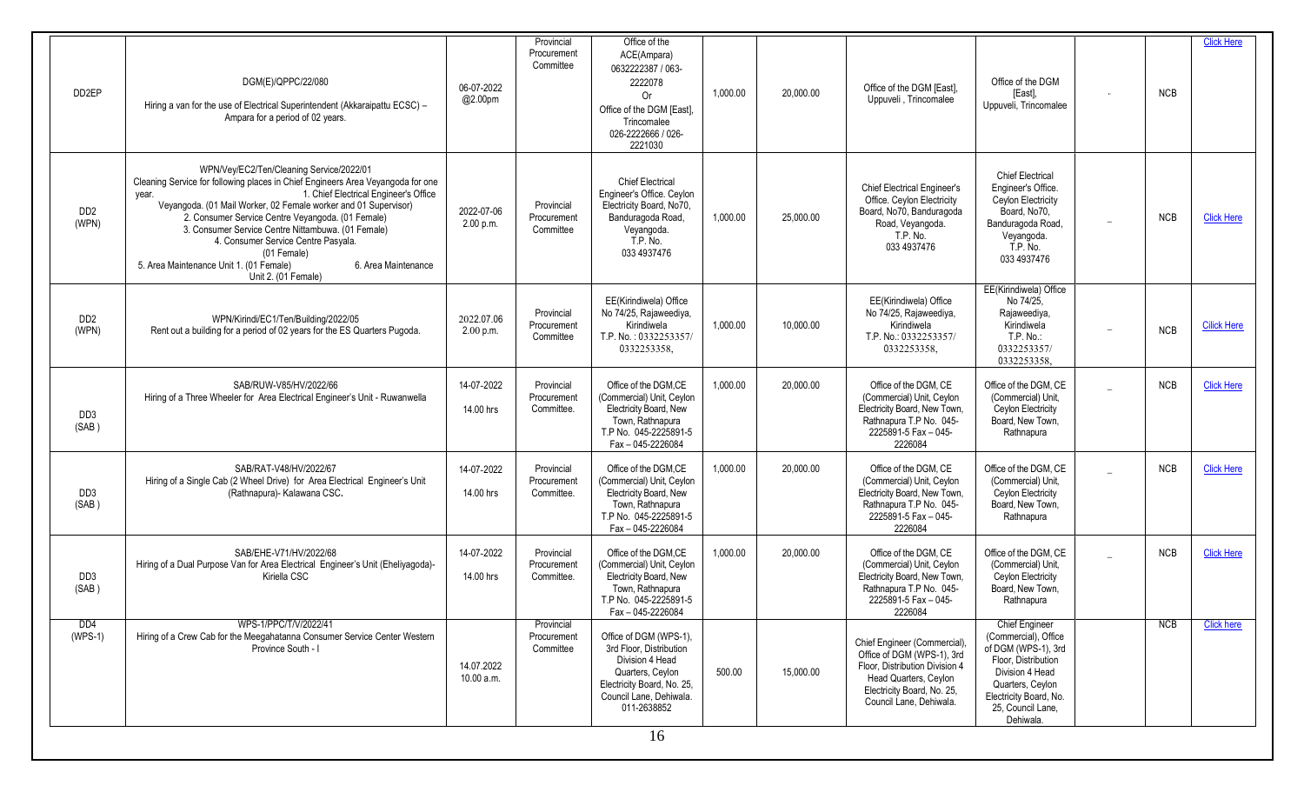| DD <sub>2EP</sub>                    | DGM(E)/QPPC/22/080<br>Hiring a van for the use of Electrical Superintendent (Akkaraipattu ECSC) -<br>Ampara for a period of 02 years.                                                                                                                                                                                                                                                                                                                                                                      | 06-07-2022<br>@2.00pm     | Provincial<br>Procurement<br>Committee  | Office of the<br>ACE(Ampara)<br>0632222387 / 063-<br>2222078<br>0r<br>Office of the DGM [East],<br>Trincomalee<br>026-2222666 / 026-<br>2221030                        | 1.000.00 | 20,000.00 | Office of the DGM [East],<br>Uppuveli, Trincomalee                                                                                                                             | Office of the DGM<br>[East],<br>Uppuveli, Trincomalee                                                                                                                                          |                          | <b>NCB</b> | <b>Click Here</b>  |
|--------------------------------------|------------------------------------------------------------------------------------------------------------------------------------------------------------------------------------------------------------------------------------------------------------------------------------------------------------------------------------------------------------------------------------------------------------------------------------------------------------------------------------------------------------|---------------------------|-----------------------------------------|------------------------------------------------------------------------------------------------------------------------------------------------------------------------|----------|-----------|--------------------------------------------------------------------------------------------------------------------------------------------------------------------------------|------------------------------------------------------------------------------------------------------------------------------------------------------------------------------------------------|--------------------------|------------|--------------------|
| DD <sub>2</sub><br>(WPN)             | WPN/Vey/EC2/Ten/Cleaning Service/2022/01<br>Cleaning Service for following places in Chief Engineers Area Veyangoda for one<br>1. Chief Electrical Engineer's Office<br>vear.<br>Veyangoda. (01 Mail Worker, 02 Female worker and 01 Supervisor)<br>2. Consumer Service Centre Veyangoda. (01 Female)<br>3. Consumer Service Centre Nittambuwa. (01 Female)<br>4. Consumer Service Centre Pasyala.<br>(01 Female)<br>5. Area Maintenance Unit 1. (01 Female)<br>6. Area Maintenance<br>Unit 2. (01 Female) | 2022-07-06<br>2.00 p.m.   | Provincial<br>Procurement<br>Committee  | <b>Chief Electrical</b><br>Engineer's Office. Ceylon<br>Electricity Board, No70,<br>Banduragoda Road.<br>Veyangoda.<br>T.P. No.<br>033 4937476                         | 1,000.00 | 25,000.00 | <b>Chief Electrical Engineer's</b><br>Office. Ceylon Electricity<br>Board, No70, Banduragoda<br>Road, Veyangoda.<br>T.P. No.<br>033 4937476                                    | <b>Chief Electrical</b><br>Engineer's Office.<br>Ceylon Electricity<br>Board, No70,<br>Banduragoda Road,<br>Veyangoda.<br>T.P. No.<br>033 4937476                                              | $\overline{\phantom{m}}$ | <b>NCB</b> | <b>Click Here</b>  |
| D <sub>D</sub> <sub>2</sub><br>(WPN) | WPN/Kirindi/EC1/Ten/Building/2022/05<br>Rent out a building for a period of 02 years for the ES Quarters Pugoda.                                                                                                                                                                                                                                                                                                                                                                                           | 2022.07.06<br>$2.00$ p.m. | Provincial<br>Procurement<br>Committee  | EE(Kirindiwela) Office<br>No 74/25, Rajaweediya,<br>Kirindiwela<br>T.P. No.: 0332253357/<br>0332253358,                                                                | 1,000.00 | 10,000.00 | EE(Kirindiwela) Office<br>No 74/25, Rajaweediya,<br>Kirindiwela<br>T.P. No.: 0332253357/<br>0332253358,                                                                        | EE(Kirindiwela) Office<br>No 74/25.<br>Rajaweediya,<br>Kirindiwela<br>T.P. No.:<br>0332253357/<br>0332253358,                                                                                  |                          | <b>NCB</b> | <b>Cilick Here</b> |
| DD <sub>3</sub><br>(SAB)             | SAB/RUW-V85/HV/2022/66<br>Hiring of a Three Wheeler for Area Electrical Engineer's Unit - Ruwanwella                                                                                                                                                                                                                                                                                                                                                                                                       | 14-07-2022<br>14.00 hrs   | Provincial<br>Procurement<br>Committee. | Office of the DGM.CE<br>(Commercial) Unit, Ceylon<br>Electricity Board, New<br>Town, Rathnapura<br>T.P No. 045-2225891-5<br>Fax - 045-2226084                          | 1.000.00 | 20,000.00 | Office of the DGM, CE<br>(Commercial) Unit, Ceylon<br>Electricity Board, New Town,<br>Rathnapura T.P No. 045-<br>2225891-5 Fax - 045-<br>2226084                               | Office of the DGM. CE<br>(Commercial) Unit.<br>Ceylon Electricity<br>Board, New Town,<br>Rathnapura                                                                                            |                          | <b>NCB</b> | <b>Click Here</b>  |
| DD <sub>3</sub><br>(SAB)             | SAB/RAT-V48/HV/2022/67<br>Hiring of a Single Cab (2 Wheel Drive) for Area Electrical Engineer's Unit<br>(Rathnapura)- Kalawana CSC.                                                                                                                                                                                                                                                                                                                                                                        | 14-07-2022<br>14.00 hrs   | Provincial<br>Procurement<br>Committee. | Office of the DGM.CE<br>(Commercial) Unit, Ceylon<br>Electricity Board, New<br>Town, Rathnapura<br>T.P No. 045-2225891-5<br>Fax - 045-2226084                          | 1,000.00 | 20,000.00 | Office of the DGM, CE<br>(Commercial) Unit, Ceylon<br>Electricity Board, New Town,<br>Rathnapura T.P No. 045-<br>2225891-5 Fax - 045-<br>2226084                               | Office of the DGM, CE<br>(Commercial) Unit,<br>Ceylon Electricity<br>Board, New Town,<br>Rathnapura                                                                                            |                          | NCB        | <b>Click Here</b>  |
| DD <sub>3</sub><br>(SAB)             | SAB/EHE-V71/HV/2022/68<br>Hiring of a Dual Purpose Van for Area Electrical Engineer's Unit (Eheliyagoda)-<br>Kiriella CSC                                                                                                                                                                                                                                                                                                                                                                                  | 14-07-2022<br>14.00 hrs   | Provincial<br>Procurement<br>Committee. | Office of the DGM.CE<br>(Commercial) Unit, Ceylon<br>Electricity Board, New<br>Town, Rathnapura<br>T.P No. 045-2225891-5<br>Fax - 045-2226084                          | 1,000.00 | 20,000.00 | Office of the DGM, CE<br>(Commercial) Unit, Ceylon<br>Electricity Board, New Town,<br>Rathnapura T.P No. 045-<br>2225891-5 Fax - 045-<br>2226084                               | Office of the DGM, CE<br>(Commercial) Unit.<br>Ceylon Electricity<br>Board, New Town,<br>Rathnapura                                                                                            |                          | <b>NCB</b> | <b>Click Here</b>  |
| DD <sub>4</sub><br>$(WPS-1)$         | WPS-1/PPC/T/V/2022/41<br>Hiring of a Crew Cab for the Meegahatanna Consumer Service Center Western<br>Province South - I                                                                                                                                                                                                                                                                                                                                                                                   | 14.07.2022<br>10.00 a.m.  | Provincial<br>Procurement<br>Committee  | Office of DGM (WPS-1),<br>3rd Floor, Distribution<br>Division 4 Head<br>Quarters, Ceylon<br>Electricity Board, No. 25,<br>Council Lane, Dehiwala.<br>011-2638852<br>16 | 500.00   | 15,000.00 | Chief Engineer (Commercial),<br>Office of DGM (WPS-1), 3rd<br>Floor, Distribution Division 4<br>Head Quarters, Ceylon<br>Electricity Board, No. 25,<br>Council Lane, Dehiwala. | <b>Chief Engineer</b><br>(Commercial), Office<br>of DGM (WPS-1), 3rd<br>Floor, Distribution<br>Division 4 Head<br>Quarters, Ceylon<br>Electricity Board, No.<br>25, Council Lane,<br>Dehiwala. |                          | <b>NCB</b> | <b>Click here</b>  |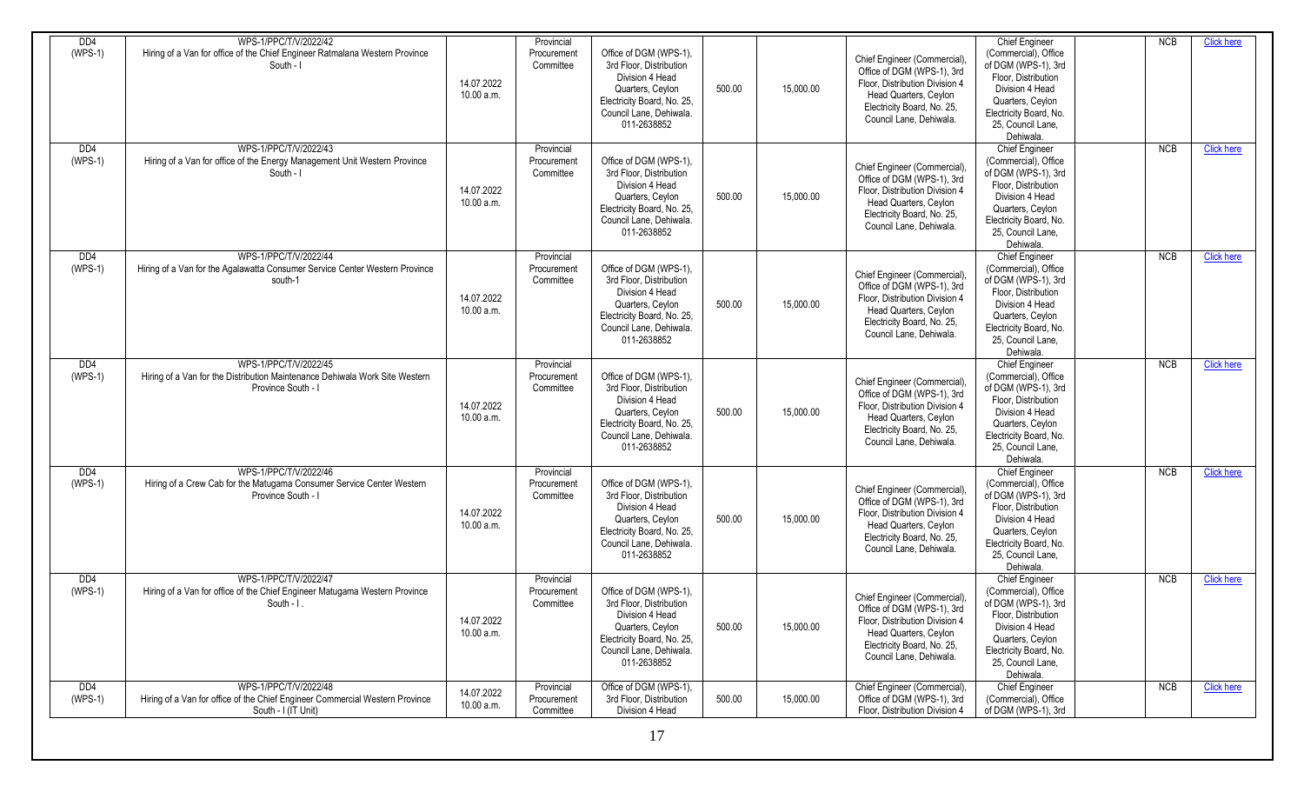| D <sub>D</sub>               | WPS-1/PPC/T/V/2022/42                                                                                                        |                          | Provincial                             |                                                                                                                                                                  |        |           |                                                                                                                                                                               | Chief Engineer                                                                                                                                                                                 | <b>NCB</b> | <b>Click here</b> |
|------------------------------|------------------------------------------------------------------------------------------------------------------------------|--------------------------|----------------------------------------|------------------------------------------------------------------------------------------------------------------------------------------------------------------|--------|-----------|-------------------------------------------------------------------------------------------------------------------------------------------------------------------------------|------------------------------------------------------------------------------------------------------------------------------------------------------------------------------------------------|------------|-------------------|
| $(WPS-1)$                    | Hiring of a Van for office of the Chief Engineer Ratmalana Western Province<br>South - I                                     | 14.07.2022<br>10.00 a.m. | Procurement<br>Committee               | Office of DGM (WPS-1),<br>3rd Floor, Distribution<br>Division 4 Head<br>Quarters, Ceylon<br>Electricity Board, No. 25,<br>Council Lane, Dehiwala.<br>011-2638852 | 500.00 | 15,000.00 | Chief Engineer (Commercial)<br>Office of DGM (WPS-1), 3rd<br>Floor, Distribution Division 4<br>Head Quarters, Ceylon<br>Electricity Board, No. 25,<br>Council Lane, Dehiwala. | (Commercial), Office<br>of DGM (WPS-1), 3rd<br>Floor, Distribution<br>Division 4 Head<br>Quarters, Ceylon<br>Electricity Board, No.<br>25. Council Lane,<br>Dehiwala.                          |            |                   |
| D <sub>D</sub><br>$(WPS-1)$  | WPS-1/PPC/T/V/2022/43<br>Hiring of a Van for office of the Energy Management Unit Western Province<br>South - I              | 14.07.2022<br>10.00 a.m. | Provincial<br>Procurement<br>Committee | Office of DGM (WPS-1),<br>3rd Floor, Distribution<br>Division 4 Head<br>Quarters, Ceylon<br>Electricity Board, No. 25,<br>Council Lane, Dehiwala.<br>011-2638852 | 500.00 | 15,000.00 | Chief Engineer (Commercial)<br>Office of DGM (WPS-1), 3rd<br>Floor, Distribution Division 4<br>Head Quarters, Ceylon<br>Electricity Board, No. 25,<br>Council Lane, Dehiwala. | Chief Engineer<br>(Commercial), Office<br>of DGM (WPS-1), 3rd<br>Floor, Distribution<br>Division 4 Head<br>Quarters, Ceylon<br>Electricity Board, No.<br>25. Council Lane,<br>Dehiwala.        | <b>NCB</b> | <b>Click here</b> |
| DD <sub>4</sub><br>$(WPS-1)$ | WPS-1/PPC/T/V/2022/44<br>Hiring of a Van for the Agalawatta Consumer Service Center Western Province<br>south-1              | 14.07.2022<br>10.00 a.m. | Provincial<br>Procurement<br>Committee | Office of DGM (WPS-1),<br>3rd Floor. Distribution<br>Division 4 Head<br>Quarters, Ceylon<br>Electricity Board, No. 25,<br>Council Lane, Dehiwala.<br>011-2638852 | 500.00 | 15,000.00 | Chief Engineer (Commercial)<br>Office of DGM (WPS-1), 3rd<br>Floor, Distribution Division 4<br>Head Quarters, Ceylon<br>Electricity Board, No. 25,<br>Council Lane, Dehiwala. | <b>Chief Engineer</b><br>(Commercial), Office<br>of DGM (WPS-1), 3rd<br>Floor, Distribution<br>Division 4 Head<br>Quarters, Ceylon<br>Electricity Board, No.<br>25. Council Lane,<br>Dehiwala. | NCB        | <b>Click here</b> |
| D <sub>D</sub><br>$(WPS-1)$  | WPS-1/PPC/T/V/2022/45<br>Hiring of a Van for the Distribution Maintenance Dehiwala Work Site Western<br>Province South - I   | 14.07.2022<br>10.00 a.m. | Provincial<br>Procurement<br>Committee | Office of DGM (WPS-1),<br>3rd Floor, Distribution<br>Division 4 Head<br>Quarters, Ceylon<br>Electricity Board, No. 25,<br>Council Lane, Dehiwala.<br>011-2638852 | 500.00 | 15,000.00 | Chief Engineer (Commercial)<br>Office of DGM (WPS-1), 3rd<br>Floor, Distribution Division 4<br>Head Quarters, Ceylon<br>Electricity Board, No. 25,<br>Council Lane, Dehiwala. | <b>Chief Engineer</b><br>(Commercial), Office<br>of DGM (WPS-1), 3rd<br>Floor, Distribution<br>Division 4 Head<br>Quarters, Ceylon<br>Electricity Board, No.<br>25. Council Lane.<br>Dehiwala. | NCB        | <b>Click here</b> |
| DD <sub>4</sub><br>$(WPS-1)$ | WPS-1/PPC/T/V/2022/46<br>Hiring of a Crew Cab for the Matugama Consumer Service Center Western<br>Province South - I         | 14.07.2022<br>10.00 a.m. | Provincial<br>Procurement<br>Committee | Office of DGM (WPS-1),<br>3rd Floor, Distribution<br>Division 4 Head<br>Quarters, Ceylon<br>Electricity Board, No. 25,<br>Council Lane, Dehiwala.<br>011-2638852 | 500.00 | 15,000.00 | Chief Engineer (Commercial)<br>Office of DGM (WPS-1), 3rd<br>Floor, Distribution Division 4<br>Head Quarters, Ceylon<br>Electricity Board, No. 25,<br>Council Lane, Dehiwala. | Chief Engineer<br>(Commercial), Office<br>of DGM (WPS-1), 3rd<br>Floor, Distribution<br>Division 4 Head<br>Quarters, Ceylon<br>Electricity Board, No.<br>25. Council Lane.<br>Dehiwala.        | <b>NCB</b> | <b>Click here</b> |
| DD4<br>$(WPS-1)$             | WPS-1/PPC/T/V/2022/47<br>Hiring of a Van for office of the Chief Engineer Matugama Western Province<br>South $-1$ .          | 14.07.2022<br>10.00 a.m. | Provincial<br>Procurement<br>Committee | Office of DGM (WPS-1),<br>3rd Floor, Distribution<br>Division 4 Head<br>Quarters, Ceylon<br>Electricity Board, No. 25,<br>Council Lane, Dehiwala.<br>011-2638852 | 500.00 | 15,000.00 | Chief Engineer (Commercial)<br>Office of DGM (WPS-1), 3rd<br>Floor, Distribution Division 4<br>Head Quarters, Ceylon<br>Electricity Board, No. 25,<br>Council Lane, Dehiwala. | <b>Chief Engineer</b><br>(Commercial), Office<br>of DGM (WPS-1), 3rd<br>Floor, Distribution<br>Division 4 Head<br>Quarters, Ceylon<br>Electricity Board, No.<br>25, Council Lane,<br>Dehiwala. | <b>NCB</b> | <b>Click here</b> |
| DD <sub>4</sub><br>$(WPS-1)$ | WPS-1/PPC/T/V/2022/48<br>Hiring of a Van for office of the Chief Engineer Commercial Western Province<br>South - I (IT Unit) | 14.07.2022<br>10.00 a.m. | Provincial<br>Procurement<br>Committee | Office of DGM (WPS-1),<br>3rd Floor, Distribution<br>Division 4 Head                                                                                             | 500.00 | 15,000.00 | Chief Engineer (Commercial)<br>Office of DGM (WPS-1), 3rd<br>Floor, Distribution Division 4                                                                                   | <b>Chief Engineer</b><br>(Commercial), Office<br>of DGM (WPS-1), 3rd                                                                                                                           | NCB        | <b>Click here</b> |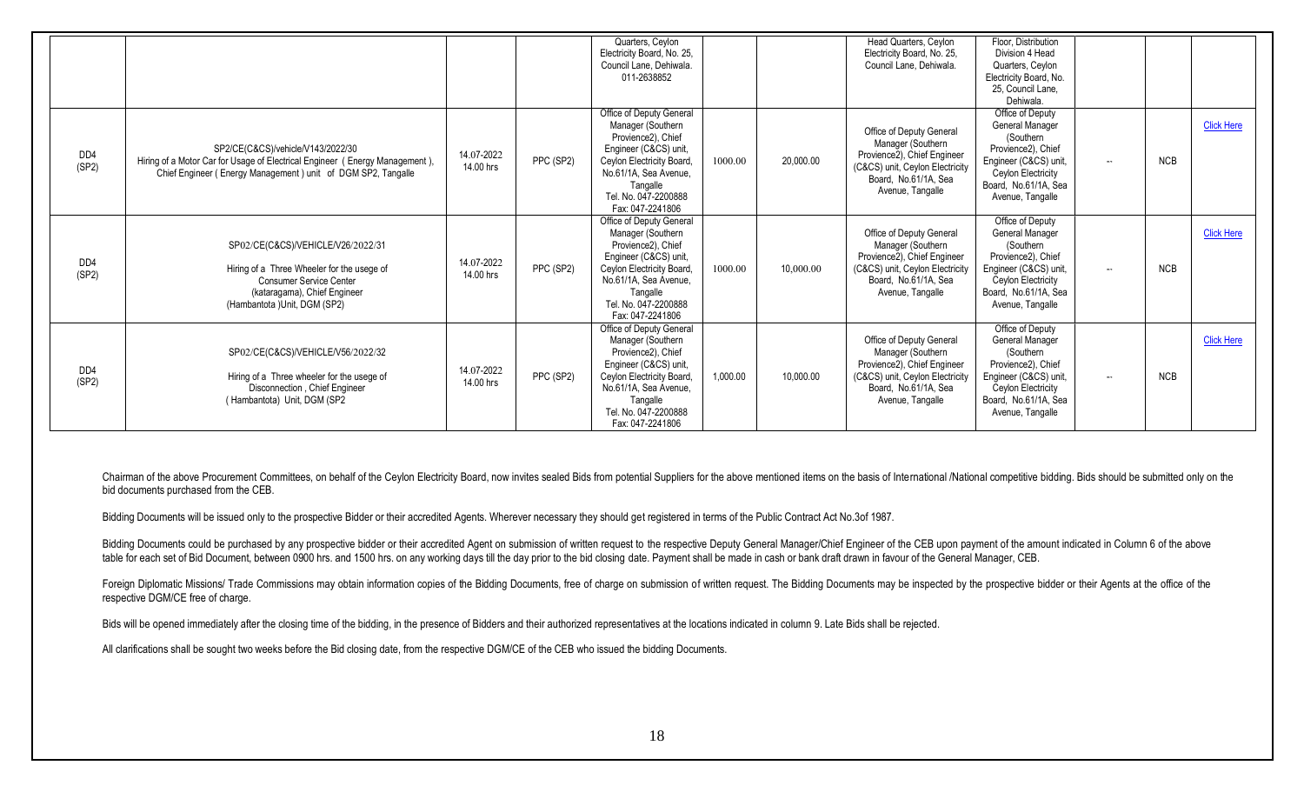|                           |                                                                                                                                                                                   |                         |           | Quarters, Ceylon<br>Electricity Board, No. 25,<br>Council Lane, Dehiwala.<br>011-2638852                                                                                                                   |          |           | Head Quarters, Ceylon<br>Electricity Board, No. 25,<br>Council Lane, Dehiwala.                                                                              | Floor. Distribution<br>Division 4 Head<br>Quarters, Ceylon<br>Electricity Board, No.<br>25. Council Lane,<br>Dehiwala.                                            |              |            |                   |
|---------------------------|-----------------------------------------------------------------------------------------------------------------------------------------------------------------------------------|-------------------------|-----------|------------------------------------------------------------------------------------------------------------------------------------------------------------------------------------------------------------|----------|-----------|-------------------------------------------------------------------------------------------------------------------------------------------------------------|-------------------------------------------------------------------------------------------------------------------------------------------------------------------|--------------|------------|-------------------|
| D <sub>D</sub><br>(SP2)   | SP2/CE(C&CS)/vehicle/V143/2022/30<br>Hiring of a Motor Car for Usage of Electrical Engineer (Energy Management),<br>Chief Engineer (Energy Management) unit of DGM SP2, Tangalle  | 14.07-2022<br>14.00 hrs | PPC (SP2) | Office of Deputy General<br>Manager (Southern<br>Provience2), Chief<br>Engineer (C&CS) unit,<br>Ceylon Electricity Board,<br>No.61/1A, Sea Avenue,<br>Tangalle<br>Tel. No. 047-2200888<br>Fax: 047-2241806 | 1000.00  | 20,000.00 | Office of Deputy General<br>Manager (Southern<br>Provience2), Chief Engineer<br>(C&CS) unit, Ceylon Electricity<br>Board. No.61/1A. Sea<br>Avenue, Tangalle | Office of Deputy<br>General Manager<br>(Southern<br>Provience2), Chief<br>Engineer (C&CS) unit<br>Ceylon Electricity<br>Board, No.61/1A, Sea<br>Avenue, Tangalle  | $-\infty$    | <b>NCB</b> | <b>Click Here</b> |
| D <sub>D</sub> 4<br>(SP2) | SP02/CE(C&CS)/VEHICLE/V26/2022/31<br>Hiring of a Three Wheeler for the usege of<br><b>Consumer Service Center</b><br>(kataragama), Chief Engineer<br>(Hambantota )Unit, DGM (SP2) | 14.07-2022<br>14.00 hrs | PPC (SP2) | Office of Deputy General<br>Manager (Southern<br>Provience2), Chief<br>Engineer (C&CS) unit,<br>Ceylon Electricity Board,<br>No.61/1A, Sea Avenue,<br>Tangalle<br>Tel. No. 047-2200888<br>Fax: 047-2241806 | 1000.00  | 10,000.00 | Office of Deputy General<br>Manager (Southern<br>Provience2), Chief Engineer<br>(C&CS) unit, Ceylon Electricity<br>Board. No.61/1A. Sea<br>Avenue, Tangalle | Office of Deputy<br>General Manager<br>(Southern<br>Provience2). Chief<br>Engineer (C&CS) unit,<br>Ceylon Electricity<br>Board, No.61/1A, Sea<br>Avenue, Tangalle | $\mathbf{u}$ | <b>NCB</b> | <b>Click Here</b> |
| D <sub>D</sub> 4<br>(SP2) | SP02/CE(C&CS)/VEHICLE/V56/2022/32<br>Hiring of a Three wheeler for the usege of<br>Disconnection, Chief Engineer<br>(Hambantota) Unit, DGM (SP2                                   | 14.07-2022<br>14.00 hrs | PPC (SP2) | Office of Deputy General<br>Manager (Southern<br>Provience2), Chief<br>Engineer (C&CS) unit,<br>Ceylon Electricity Board,<br>No.61/1A, Sea Avenue,<br>Tangalle<br>Tel. No. 047-2200888<br>Fax: 047-2241806 | 1.000.00 | 10.000.00 | Office of Deputy General<br>Manager (Southern<br>Provience2), Chief Engineer<br>(C&CS) unit, Ceylon Electricity<br>Board, No.61/1A, Sea<br>Avenue, Tangalle | Office of Deputy<br>General Manager<br>(Southern<br>Provience2). Chief<br>Engineer (C&CS) unit,<br>Ceylon Electricity<br>Board, No.61/1A, Sea<br>Avenue, Tangalle | $\sim$       | <b>NCB</b> | <b>Click Here</b> |

Chairman of the above Procurement Committees, on behalf of the Ceylon Electricity Board, now invites sealed Bids from potential Suppliers for the above mentioned items on the basis of International /National competitive bi bid documents purchased from the CEB.

Bidding Documents will be issued only to the prospective Bidder or their accredited Agents. Wherever necessary they should get registered in terms of the Public Contract Act No.3of 1987.

Bidding Documents could be purchased by any prospective bidder or their accredited Agent on submission of written request to the respective Deputy General Manager/Chief Engineer of the CEB upon payment of the amount indica table for each set of Bid Document, between 0900 hrs. and 1500 hrs. on any working days till the day prior to the bid closing date. Payment shall be made in cash or bank draft drawn in favour of the General Manager, CEB.

Foreign Diplomatic Missions/ Trade Commissions may obtain information copies of the Bidding Documents, free of charge on submission of written request. The Bidding Documents may be inspected by the prospective bidder or th respective DGM/CE free of charge.

Bids will be opened immediately after the closing time of the bidding, in the presence of Bidders and their authorized representatives at the locations indicated in column 9. Late Bids shall be rejected.

All clarifications shall be sought two weeks before the Bid closing date, from the respective DGM/CE of the CEB who issued the bidding Documents.